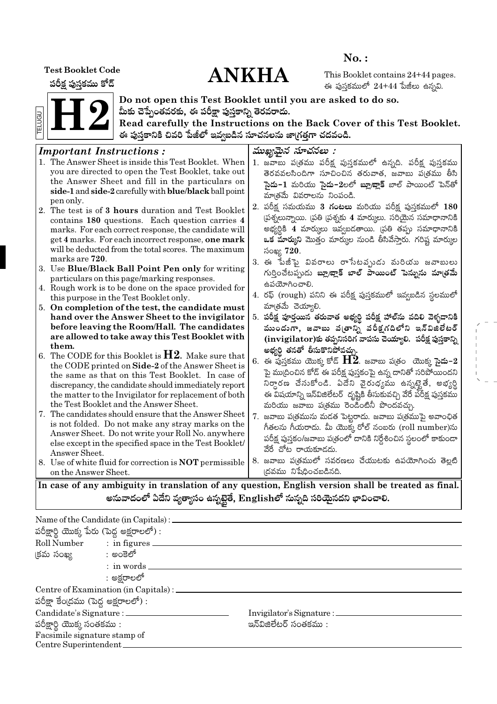**Test Booklet Code** 

పరీక్ష పుస్తకము కోడ్

# **ANKHA**

 $No.$ :

This Booklet contains 24+44 pages. ఈ పుస్తకములో  $24+44$  పేజీలు ఉన్నవి.



Do not open this Test Booklet until you are asked to do so. మీకు చెప్పేంతవరకు, ఈ పరీక్షా పుస్తకాన్ని తెరవరాదు.

Read carefully the Instructions on the Back Cover of this Test Booklet. ఈ పుస్తకానికి చివరి పేజీలో ఇవ్వబడిన సూచనలను జా(గత్తగా చదవండి.

#### ముఖ్యమైన సూచనలు : **Important Instructions:** 1. The Answer Sheet is inside this Test Booklet. When 1. జవాబు ప(తము పరీక్ష పుస్తకములో ఉన్నది. పరీక్ష పుస్తకము vou are directed to open the Test Booklet, take out తెరవవలసిందిగా సూచించిన తరువాత, జవాబు ప(తము తీసి the Answer Sheet and fill in the particulars on సై**దు−1** మరియు సై**దు−2**లలో **బ్లూబ్లాక్** బాల్ పాయింట్ పెన్తో side-1 and side-2 carefully with blue/black ball point మాత్రమే వివరాలను నింపండి. pen only. 2. పరీక్ష సమయము 3 **గంటలు** మరియు పరీక్ష పుస్తకములో 180 2. The test is of 3 hours duration and Test Booklet (పశ్నలున్నాయి. (పతి (పశ్నకు 4 మార్కులు. సరియైన సమాధానానికి contains 180 questions. Each question carries 4 అభ్యర్ధికి 4 మార్కులు ఇవ్వబడతాయి. (పతి తప్పు సమాధానానికి marks. For each correct response, the candidate will get 4 marks. For each incorrect response, one mark ఒక మార్కుని మొత్తం మార్కుల నుండి తీసివేస్తారు. గరిష్ట మార్కుల will be deducted from the total scores. The maximum సంఖ్య 720. marks are 720. 3. ఈ పేజీపై వివరాలు రాసేటవృుడు మరియు జవాబులు 3. Use Blue/Black Ball Point Pen only for writing గుర్తించేటప్పుడు బ్లూ/జ్లాక్ బాల్ పాయింట్ పెన్నును మాత్రమే particulars on this page/marking responses. ఉపయోగించాలి. 4. Rough work is to be done on the space provided for 4. రఫ్ (rough) పనిని ఈ పరీక్ష పుస్తకములో ఇవ్వబడిన స్థలములో this purpose in the Test Booklet only. మాత్రమే చెయ్యాలి. 5. On completion of the test, the candidate must 5. పరీక్ష పూర్తయిన తరువాత అభ్యర్థి పరీక్ష హాల్**ను వదిలి వె**ళ్ళడానికి hand over the Answer Sheet to the invigilator before leaving the Room/Hall. The candidates ముందుగా, జవాబు వ(తాన్ని పరీక్షగదిలోని ఇన్విజిలేటర్ are allowed to take away this Test Booklet with  $(i$ nvigilator)కు తప్పనిసరిగ వాపసు చెయ్యాలి. పరీక్ష పుస్తకాన్ని them. అభ్యర్థి తనతో తీసుకొనిపోవచ్చు. 6. The CODE for this Booklet is  $H2$ . Make sure that  $6.$  ఈ ఫుస్తకము యొక్క కోడ్  $\bm{\mathrm{H2}}$ . జవాబు ప(తం యొక్క సైదు– $2$ the CODE printed on Side-2 of the Answer Sheet is పై ము(దించిన కోడ్ ఈ పరీక్ష పుస్తకంపై ఉన్న దానితో సరిపోయిందని the same as that on this Test Booklet. In case of నిర్ధారణ చేసుకోండి. ఏదేని వైరుధ్యము ఉన్నట్టైతే, అభ్యర్థి discrepancy, the candidate should immediately report the matter to the Invigilator for replacement of both ఈ విషయాన్ని ఇన్విజిలేటర్ దృష్టికి తీసుకువచ్చి వేరే పరీక్ష పుస్తకము the Test Booklet and the Answer Sheet. మరియు జవాబు పత్రము రెండింటినీ పొందవచ్చు. 7. The candidates should ensure that the Answer Sheet 7. జవాబు ప(త్రమును మడత పెట్టరాదు. జవాబు ప(త్రముపై అవాంఛిత is not folded. Do not make any stray marks on the గీతలను గీయరాదు. మీ యొక్క రోల్ నంబరు (roll number)ను Answer Sheet. Do not write your Roll No. anywhere పరీక్ష పుస్తకం/జవాబు పత్రంలో దానికి నిర్దేశించిన స్థలంలో కాకుండా else except in the specified space in the Test Booklet/ వేరే చోట రాయకూడదు. Answer Sheet. 8. జవాబు పఁ్రతములో సవరణలు చేయుటకు ఉపయోగించు తెల్లటి 8. Use of white fluid for correction is **NOT** permissible |దవము నిషేధించబడినది. on the Answer Sheet.

In case of any ambiguity in translation of any question, English version shall be treated as final. అనువాదంలో ఏదేని వ్యత్యాసం ఉన్నటైతే, Englishలో నున్నది సరియైనదని భావించాలి.

|                                            | Name of the Candidate (in Capitals) : $\_\_$ |                                 |  |  |  |  |  |  |
|--------------------------------------------|----------------------------------------------|---------------------------------|--|--|--|--|--|--|
| పరీక్షార్థి యొక్క పేరు (పెద్ద అక్షరాలలో) : |                                              |                                 |  |  |  |  |  |  |
| Roll Number : in figures _                 |                                              |                                 |  |  |  |  |  |  |
| క్రమ సంఖ్య సాంత్రా అంకెలో                  |                                              |                                 |  |  |  |  |  |  |
|                                            | : in words.                                  |                                 |  |  |  |  |  |  |
|                                            | : అక్షరాలలో                                  |                                 |  |  |  |  |  |  |
|                                            | Centre of Examination (in Capitals) : _____  |                                 |  |  |  |  |  |  |
| పరీక్షా కేంద్రము (పెద్ద అక్షరాలలో) :       |                                              |                                 |  |  |  |  |  |  |
| Candidate's Signature : _______            |                                              | Invigilator's Signature : _____ |  |  |  |  |  |  |
| పరీక్షార్థి యొక్క సంతకము :                 |                                              | ఇన్ఏజిలేటర్ సంతకము :            |  |  |  |  |  |  |
| Facsimile signature stamp of               |                                              |                                 |  |  |  |  |  |  |
| Centre Superintendent_                     |                                              |                                 |  |  |  |  |  |  |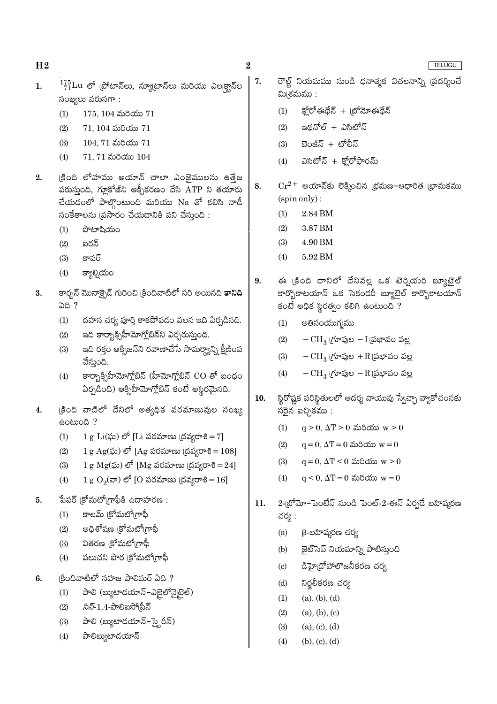- $^{175}_{71}$ Lu లో (పోటాన్లు, న్యూటాన్లు మరియు ఎల్కక్టాన్ల  $\mathbf{1}$ . సంఖ్యలు వరుస $m:$ 
	- $(1)$  $175, 104$  మరియు  $71$
	- $(2)$  $71, 104$  మరియు  $71$
	- $(3)$  $104.71$  మరియు  $71$
	- $71, 71$  మరియు  $104$  $(4)$
- క్రింది లోహము అయాన్ చాలా ఎంజైములను ఉత్తేజ  $2.$ పరుస్తుంది, గ్లూకోజ్ని ఆక్సీకరణం చేసి ATP ని తయారు చేయడంలో పాల్గొంటుంది మరియు Na తో కలిసి నాడీ సంకేతాలను (ప్రసారం చేయడానికి పని చేస్తుంది :
	- పొటాషియం  $(1)$
	- ఐరన్  $(2)$
	- $(3)$ కాపర్
	- $(4)$ క్యాల్సియం
- కార్బన్ మొనాక్పైడ్ గురించి క్రిందివాటిలో సరి అయినది **కానిది** 3. ఏది ?
	- దహన చర్య పూర్తి కాకపోవడం వలన ఇది ఏర్పడినది.  $(1)$
	- ఇది కార్బాక్సిహీమోగ్లోబిన్ని ఏర్పరుస్తుంది.  $(2)$
	- ఇది రక్తం ఆక్సిజన్ని రవాణాచేసే సామర్యాన్ని క్షీణింప  $(3)$ చేస్తుంది.
	- కార్బాక్సిహీమోగ్లోబిన్ (హీమోగ్లోబిన్ CO తో బంధం  $(4)$ ఏర్పడింది) ఆక్సిహీమోగ్లోబిన్ కంటే అస్థిరమైనది.
- క్రింది వాటిలో దేనిలో అత్యధిక పరమాణువుల సంఖ్య  $\overline{4}$ . doctona?
	- 1 g Li $(\tilde{\omega})$  లో [Li పరమాణు (దవ్యరాశి = 7]  $(1)$
	- 1 g Ag(ఘ) లో [Ag పరమాణు (దవ్యరాశి = 108]  $(2)$
	- 1 g  $Mg(x)$ ) లో [Mg పరమాణు (దవ్యరాశి = 24]  $(3)$
	- 1 g  $O_2(\pi)$  లో [O పరమాణు (దవ్యరాశి = 16]  $(4)$
- పేపర్ క్రోమటోగ్రాఫీకి ఉదాహరణ :  $5<sub>1</sub>$ 
	- కాలమ్ (కోమటోగ్రాఫీ  $(1)$
	- అధిశోషణ (కోమటో(గాఫీ  $(2)$
	- వితరణ (కోమటోగ్రాఫీ  $(3)$
	- పలుచని పొర క్రోమటోగ్రాఫీ  $(4)$
- (కిందివాటిలో సహజ పాలిమర్ ఏది ? 6.
	- $(1)$ పాలి (బ్యుటాదయాన్-ఎక్రైలోన్నైటైల్)
	- $\partial \bar{z}$ -1,4-పాలిఐసో(పీన్  $(2)$
	- పాలి (బ్యుటాడయాన్-స్కైరీన్)  $(3)$
	- $(4)$ పాలిబ్యుటాదయాన్
- రౌల్ట్ నియమము నుండి ధనాత్మక విచలనాన్ని (పదర్శించే 7. మి(శమము :
	- క్హోరోఈథేన్ + ట్రోమోఈథేన్  $(1)$
	- ఇథనోల్ + ఎసిటోన్  $(2)$
	- బెంజీన్ + టోలీన్  $(3)$
	- ఎసిటోన్ + క్రోరోఫారమ్  $(4)$
- $\mathrm{Cr^{2+}}$  అయాన్కు లెక్కించిన (భమణ-ఆధారిత (భామకము 8. (spin only):
	- $(1)$ 2.84 BM
	- $(2)$ 3.87 BM
	- 4.90 BM  $(3)$
	- $(4)$ 5.92 BM
- ఈ (కింది దానిలో దేనివల్ల ఒక టెర్నియరి బ్యూటైల్ 9. కార్భొకాటయాన్ ఒక సెకండరీ బ్యూటైల్ కార్భొకాటయాన్ కంటే అధిక స్థిరత్వం కలిగి ఉంటుంది ?
	- అతిసంయుగ్మము  $(1)$
	- $-CH_3$  (గూపుల  $-I$  (పభావం వల్ల  $(2)$
	- $(3)$  $-CH_3$  (గూపుల +R (పభావం వల్ల
	- $(4)$  $-CH<sub>3</sub>$  (గూపుల  $-R$  (పభావం వల్ల
- స్థిరోష్ణక పరిస్థితులలో ఆదర్శ వాయువు స్వేచ్చా వ్యాకోచంనకు 10.  $\tilde{N}$ రైన ఐచ్చికము:
	- $(1)$  $q > 0$ ,  $\Delta T > 0$  మరియు  $w > 0$
	- $(2)$  $q = 0$ ,  $\Delta T = 0$  మరియు  $w = 0$
	- $(3)$  $q = 0$ ,  $\Delta T < 0$  మరియు  $w > 0$
	- $q < 0$ ,  $\Delta T = 0$  మరియు  $w = 0$  $(4)$
- 2-బ్రోమో–పెంటేన్ నుండి పెంట్-2-ఈన్ ఏర్పడే బహిషురణ  $11.$ చర్య :
	- $(a)$ β-బహిషురణ చర్య
	- జైట్ సెవ్ నియమాన్ని పాటిస్తుంది  $(b)$
	- డిహై(దోహాలొజనీకరణ చర్య  $\left( \text{c} \right)$
	- $(d)$ నిర్జలీకరణ చర్య
	- $(1)$  $(a), (b), (d)$
	- $(2)$  $(a), (b), (c)$
	- $(3)$  $(a), (c), (d)$
	- $(4)$  $(b), (c), (d)$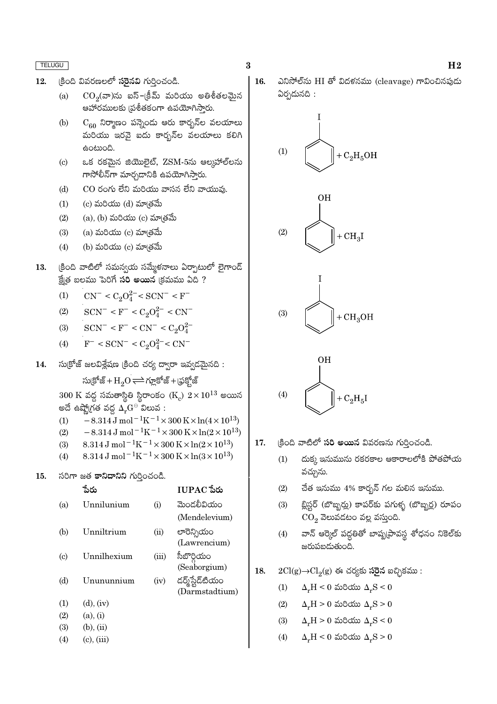- కింది వివరణలలో సరైనవి గుర్తించండి.  $12.$ 
	- $CO<sub>2</sub>(a)$ ను ఐస్–క్రీమ్ మరియు అతిశీతలమైన  $(a)$ ఆహారములకు వుశీతకంగా ఉపయోగిసారు.
	- $(b)$  $C_{60}$  నిర్మాణం పన్నెండు ఆరు కార్బన్ల వలయాలు మంయు ఇరవై ఐదు కారృన్ల వలయాలు కలిగి ఉంటుంది.
	- ఒక రకమైన జియొలైట్, ZSM-5ను ఆల్మహాల్**ల**ను  $(c)$ గాసోలీన్గా మార్చడానికి ఉపయోగిస్తారు.
	- $CO$  రంగు లేని మరియు వాసన లేని వాయువు.  $(d)$
	- $(1)$  $(c)$  మరియు  $(d)$  మా $(d)$
	- $(a)$ ,  $(b)$  మరియు  $(c)$  మా $\check{\mathfrak{so}}$ మే  $(2)$
	- $(a)$  మరియు  $(c)$  మాత్రమే  $(3)$
	- $(4)$ (b) మరియు  $(c)$  మా $\check{\mathsf{B}}$ మే
- క్రింది వాటిలో సమన్వయ సమ్మేళనాలు ఏర్పాటులో లైగాండ్ 13. క్షేత బలము పెరిగే సరి అయిన (క్రమము ఏది ?
	- $CN^- < C_2O_4^{2-} < SCN^- < F^ (1)$
	- $SCN^- < F^- < C_2O_4^{2-} < CN^ (2)$
	- $SCN^{-} < F^{-} < CN^{-} < C_2O_4^{2-}$  $(3)$
	- $F^-$  < SCN<sup>-</sup> < C<sub>2</sub>O<sub>4</sub><sup>2-</sup> < CN<sup>-</sup>  $(4)$
- సుక్రోజ్ జలవిశ్లేషణ క్రింది చర్య ద్వారా ఇవ్వడమైనది : 14.

సుక్రోజ్ + $H_2O \rightleftharpoons$  గూ్లకోజ్ + (ఫక్హోజ్

 $300 \text{ K}$  వద్ద సమతాస్థితి స్థిరాంకం  $(K_c)$   $2 \times 10^{13}$  అయిన అదే ఉష్మోగత వద్ద  $\tilde{\Delta_r}$ G $^\circ$  విలువ :

- $-8.314 \,\mathrm{J} \,\mathrm{mol}^{-1} \mathrm{K}^{-1} \times 300 \,\mathrm{K} \times \ln(4 \times 10^{13})$  $(1)$
- $(2)$  $-8.314 \,\mathrm{J}$  mol<sup>-1</sup>K<sup>-1</sup>×300 K×ln(2×10<sup>13</sup>)
- 8.314 J mol<sup>-1</sup>K<sup>-1</sup> × 300 K × ln(2 × 10<sup>13</sup>)  $(3)$
- 8.314 J mol<sup>-1</sup>K<sup>-1</sup> × 300 K × ln(3 × 10<sup>13</sup>)  $(4)$
- 15. సరిగా జత కానిదానిని గుర్తించండి.

|                   | ేపరు            |       | $IUPAC$ పేరు    |
|-------------------|-----------------|-------|-----------------|
| (a)               | Unnilunium      | (i)   | మెండలీవియం      |
|                   |                 |       | (Mendelevium)   |
| (b)               | Unniltrium      | (ii)  | లారెన్సియం      |
|                   |                 |       | (Lawrencium)    |
| (c)               | Unnilhexium     | (iii) | సీబొర్గియం      |
|                   |                 |       | (Seaborgium)    |
| (d)               | Unununnium      | (iv)  | డర్మ్స్టేడ్టియం |
|                   |                 |       | (Darmstadtium)  |
| (1)               | $(d)$ , $(iv)$  |       |                 |
| (2)               | (a), (i)        |       |                 |
| (3)               | $(b)$ , $(ii)$  |       |                 |
| $\left( 4\right)$ | $(c)$ , $(iii)$ |       |                 |
|                   |                 |       |                 |

- $\bf{3}$
- ఎనిసోల్ను HI తో విదళనము (cleavage) గావించినపుడు  $16.$ ఏర్పడునది :







- క్రింది వాటిలో **సరి అయిన** వివరణను గుర్తించండి. 17.
	- దుక్క ఇనుమును రకరకాల ఆకారాలలోకి పోతపోయ  $(1)$ వచ్చును.
	- $(2)$ చేత ఇనుము 4% కార్బన్ గల మలిన ఇనుము.
	- బ్లిస్టర్ (బొబ్బర్లు) కాపర్కు పగుళ్ళ (బొబ్బర్ల) రూపం  $(3)$  $CO<sub>2</sub>$  వెలువడటం వల్ల వస్తుంది.
	- వాన్ ఆర్కెల్ పద్ధతితో బాష్నటావస్థ శోధనం నికెల్కు  $(4)$ జరుపబడుతుంది.
- 18.  $2Cl(g) \rightarrow Cl_2(g)$  ఈ చర్యకు సరైన ఐచ్చికము:
	- $\Delta F = 0$  మరియు  $\Delta F = 0$  $(1)$
	- $\Delta_r H > 0$  మరియు  $\Delta_r S > 0$  $(2)$
	- $(3)$  $\Delta_r H > 0$  మరియు  $\Delta_r S < 0$
	- $\Delta F = 0$  మరియు  $\Delta F = 0$  $(4)$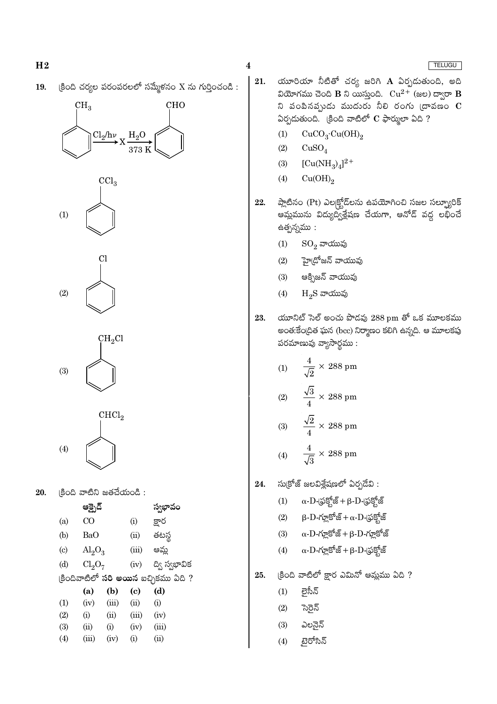$\beta$ ంది చర్యల పరంపరలలో సమ్మేళనం X ను గుర్తించండి : 19.

## **CHO**  $CH<sub>3</sub>$  $Cl_2/h\nu$  $_{\rm H_2O}$





 $\mathrm{CH_{2}Cl}$  $(3)$ 



20. (కింది వాటిని జతచేయండి :

|                           | ఆక్సైడ్                        |       |          | స్వభావం                                     |  |  |  |  |
|---------------------------|--------------------------------|-------|----------|---------------------------------------------|--|--|--|--|
| (a)                       | CO                             |       | $\rm(i)$ | క్షార                                       |  |  |  |  |
| (b)                       | BaO                            |       | (ii)     | తటస్థ                                       |  |  |  |  |
| $\left( \text{c} \right)$ | $\mathrm{Al}_2\mathrm{O}_3$    |       | (iii)    | ఆమ్ల                                        |  |  |  |  |
| (d)                       | Cl <sub>2</sub> O <sub>7</sub> |       | (iv)     | ద్వి స్వభావిక                               |  |  |  |  |
|                           |                                |       |          | (కిందివాటిలో <b>సరి అయిన</b> ఐచ్చికము ఏది ? |  |  |  |  |
|                           | (a)                            | (b)   | (c)      | (d)                                         |  |  |  |  |
| (1)                       | (iv)                           | (iii) | (ii)     | (i)                                         |  |  |  |  |
| (2)                       | (i)                            | (ii)  | (iii)    | (iv)                                        |  |  |  |  |
| (3)                       | (ii)                           | (i)   | (iv)     | (iii)                                       |  |  |  |  |
| (4)                       | (iii)                          | (iv)  | (i)      | (ii)                                        |  |  |  |  |
|                           |                                |       |          |                                             |  |  |  |  |

- యూరియా నీటితో చర్య జరిగి A ఏర్పడుతుంది, అది 21. వియోగము చెంది B ని యిస్తుంది.  $Cu^{2+}$  (జల) ద్వారా B ని పంపినప్పుడు ముదురు నీలి రంగు  $\overline{\mathbb{C}}$ ావణం  $\overline{\mathbb{C}}$ ఏర్పడుతుంది. క్రింది వాటిలో  $\mathbf C$  ఫార్ములా ఏది ?
	- $CuCO<sub>3</sub>·Cu(OH)<sub>2</sub>$  $(1)$
	- $(2)$  $CuSO<sub>4</sub>$
	- $[Cu(NH_3)_4]^{2+}$  $(3)$
	- $Cu(OH)_{2}$  $(4)$
- ప్లాటినం (Pt) ఎల|క్టోడ్లను ఉపయోగించి సజల సల్ఫ్యూరిక్ 22. ఆమ్హమును విద్యుద్విశ్లేషణ చేయగా, ఆనోడ్ వద్ద లభించే ఉత్పన్నము:
	- $\mathrm{SO}_2$  వాయువు  $(1)$
	- $(2)$ హై(దోజన్ వాయువు
	- ఆక్సిజన్ వాయువు  $(3)$
	- $(4)$  $H_2S$  వాయువు
- యూనిట్ సెల్ అంచు పొడవు  $288$  pm తో ఒక మూలకము 23. అంత:కేంద్రిత ఘన (bcc) నిర్మాణం కలిగి ఉన్నది. ఆ మూలకపు పరమాణువు వ్యాసార్థము:
	- $\frac{4}{\sqrt{2}} \times 288$  pm  $(1)$  $\frac{\sqrt{3}}{4} \times 288$  pm  $(2)$
	- $\frac{\sqrt{2}}{2} \times 288$  pm  $(3)$  $\times$  288 pm  $(4)$
- సుక్రోజ్ జలవిశ్లేషణలో ఏర్పడేవి: 24.
	- $\alpha$ - $\mathrm{D}$ -(ఫ్రక్షోజ్ +  $\beta$ - $\mathrm{D}$ -(ఫ్రక్షోజ్  $(1)$
	- $\beta$ - $D$ -గ్లూకోజ్ + α- $D$ -(ఫక్బోజ్  $(2)$
	- $\alpha$ -D-గ్లూకోజ్ + β-D-గ్లూకోజ్  $(3)$
	- $\alpha$ -D-గ్లూకోజ్ + β-D-(ఫక్హోజ్  $(4)$
- క్రింది వాటిలో క్షార ఎమినో ఆమ్లము ఏది ? 25.
	- లైసీన్  $(1)$
	- $(2)$ స్తెన్
	- $(3)$ ఎలనైన్
	- $(4)$ ్టైరోసిన్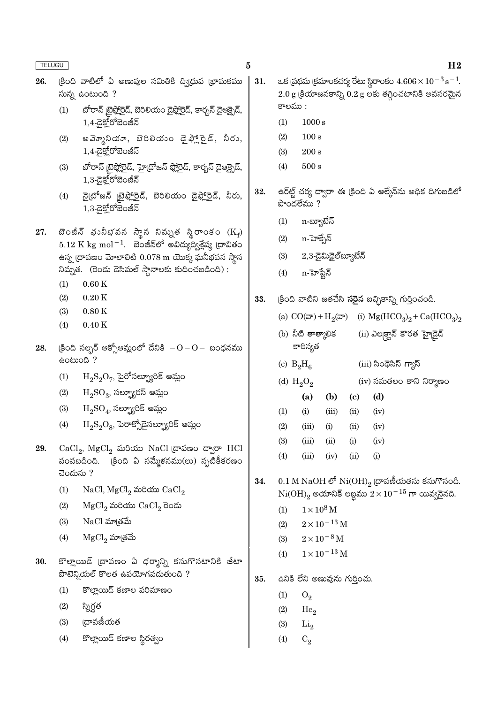#### $\bf{5}$

- క్రింది వాటిలో ఏ అణువుల సమితికి ద్విధువ భామకము 26. సున్న ఉంటుంది?
	- బోరాన్ టైఫ్లోరైడ్, బెరిలియం డైఫ్లోరైడ్, కార్బన్ డైఆక్సైడ్,  $(1)$  $1,4$ -ದ಼ಕ್ಲ್ಲೇರ್ಿಪಂಜಿನ
	- అవె్మూనియా, బెరిలియం డైఫ్లాకైడ్, నీరు,  $(2)$  $1,4$ -යුక్హోరోబెంజీన్
	- బోరాన్ టైఫ్లోరైడ్, హైడ్రోజన్ ఫ్లోరైడ్, కార్బన్ డైఆక్రైడ్,  $(3)$  $1,3$ -డైక్హోరోబెంజీన్
	- నైటోజన్ టైఫ్లోరైడ్, బెరిలియం డైఫ్లోరైడ్, నీరు,  $(4)$  $1.3$ - $\overline{a}$ కోరోబెంజీన్
- బెంజీన్ భునీభవన స్థాన నిమ్నత స్థిరాంకం  $(\mathrm{K}_{\mathrm{f}})$ 27.  $5.12\ {\rm K}\ {\rm kg}\ {\rm mol}^{-1}$ . బెంజీన్లో అవిద్యుద్వశ్లేష్య ద్రావితం ఉన్న ద్రావణం మోలాలిటి  $0.078$  m యొక్క ఘనీభవన స్థాన నిమ్నత. (రెండు డెసిమల్ స్థానాలకు కుదించబడింది) :
	- $(1)$  $0.60K$
	- $(2)$  $0.20K$
	- $0.80K$  $(3)$
	- $0.40K$  $(4)$
- (కింది సల్ఫర్ ఆక్సోఆమ్లంలో దేనికి  $-0-0-$  బంధనము 28. eocooo ?
	- $\mathrm{H_{2}S_{2}O_{7}}$ , పైరోసల్ప్యూరిక్ ఆమ్లం  $(1)$
	- $\mathrm{H_{2}SO_{3}},$  సల్ఫ్యూరస్ ఆమ్లం  $(2)$
	- $\mathrm{H_{2}SO_{4}}$ , సల్ఫ్యూరిక్ ఆమ్లం  $(3)$
	- $\mathrm{H_2S_2O_8}$ , పెరాక్సోదైసల్బ్యూరిక్ ఆమ్లం  $(4)$
- $CaCl<sub>2</sub>$ ,  $MgCl<sub>2</sub>$  మరియు NaCl (దావణం ద్వారా HCl 29. చెందును ?
	- NaCl, MgCl<sub>2</sub> మరియు CaCl<sub>2</sub>  $(1)$
	- $MgCl<sub>2</sub>$  మరియు  $CaCl<sub>2</sub>$  రెండు  $(2)$
	- $(3)$  $NaCl$  మా $\check{\phantom{aa}}$ బే
	- $MgCl<sub>2</sub>$  మాత్రమే  $(4)$
- 30. కొల్లాయిడ్ (దావణం ఏ ధర్మాన్ని కనుగొనటానికి జీటా పొటెన్వియల్ కొలత ఉపయోగపడుతుంది ?
	- కొల్లాయిడ్ కణాల పరిమాణం  $(1)$
	- స్నిగ్ధత  $(2)$
	- ౹దావణీయత  $(3)$
	- కొల్లాయిడ్ కణాల స్థిరత్వం  $(4)$
- ఒక (పథమ (కమాంకచర్య రేటు స్థిరాంకం  $4.606 \times 10^{-3}$  s<sup>-1</sup>. 31.  $2.0\,\mathrm{g}$  క్రియాజనకాన్ని  $0.2\,\mathrm{g}$  లకు తగ్గించటానికి అవసరమైన కాలము :
	- $(1)$  $1000 s$
	- $(2)$  $100 s$
	- $200 s$  $(3)$
	- $(4)$  $500 s$
- ఉర్ఆర్ట్ చర్య ద్వారా ఈ క్రింది ఏ ఆల్కేన్ను అధిక దిగుబడిలో 32. పొందలేము $?$ 
	- n-బ్యూటేన్  $(1)$
	- $(2)$ n-హెక్సేన్
	- $2,3$ -డైమిథైల్ౠ్యబేన్  $(3)$
	- $(4)$ n-హెప్టేన్
- క్రింది వాటిని జతచేసి **సరైన** ఐచ్ఛికాన్ని గుర్తించండి. 33.
	- (i)  $Mg(HCO_3)_2 + Ca(HCO_3)_2$ (a)  $CO(\overline{\omega}) + H_2(\overline{\omega})$
	- $(i)$  ఎల $\mathbb{E}^5_2$ న్ కొరత హైడ్రెడ్ (b) నీటి తాత్కాలిక కాఠిన్యత
	- (c)  $B_2H_6$  $(iii)$  సింధెసిస్ గ్యాస్ (d)  $H_2O_2$ 
		- $(iv)$  సమతలం కాని నిర్మాణం
	- $(b)$  $(d)$  $(a)$  $\left( \mathbf{c} \right)$  $(1)$  $(i)$  $(iii)$  $(ii)$  $(iv)$  $(2)$  $(iii)$  $(i)$  $(ii)$  $(iv)$  $(3)$  $(iii)$  $(ii)$  $(i)$  $(iv)$  $(4)$
	- $(i)$  $(iii)$  $(iv)$  $(ii)$
- 0.1 M NaOH లో  $Ni(OH)_{2}$  ద్రావణీయతను కనుగొనండి. 34.  $\mathrm{Ni(OH)}_{2}$  అయానిక్ లబ్దము  $2 \times 10^{-15}$  గా యివ్వనైనది.
	- $1\times10^8\,\mathrm{M}$  $(1)$
	- $2 \times 10^{-13} \, \mathrm{M}$  $(2)$
	- $2\times10^{-8}\,\mathrm{M}$  $(3)$
	- $1 \times 10^{-13}$  M  $(4)$
- ఉనికి లేని అణువును గుర్తించు. 35.
	- $(1)$  $O_2$
	- $(2)$  $He<sub>2</sub>$
	- $Li<sub>2</sub>$  $(3)$
	- $(4)$  $C_2$

#### $H<sub>2</sub>$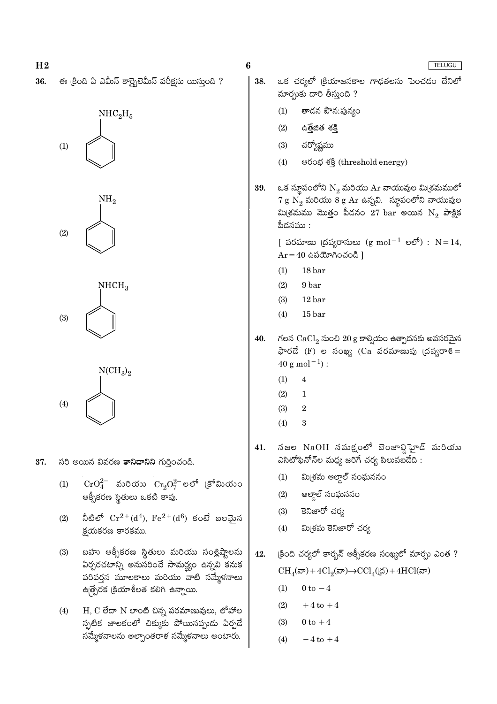ఒక చర్యలో క్రియాజనకాల గాఢతలను పెంచడం దేనిలో ఈ క్రింది ఏ ఎమీన్ కార్బైలెమీన్ పరీక్షను యిస్తుంది ? 38. మార్చుకు దారి తీస్తుంది ?  $(1)$ తాడన పౌన:పున్యం  $NHC<sub>2</sub>H<sub>5</sub>$  $(2)$ ఉత్తేజిత శక్తి చర్యోష్ణము  $(3)$  $(1)$  $(4)$ පරංಭ శక్తి (threshold energy) ఒక స్థూపంలోని  $N_2$  మరియు Ar వాయువుల మి(శమములో 39.  $7\,\mathrm{g}\,\,\mathrm{\v{N}_2}$  మరియు  $8\,\mathrm{g}\,\,\mathrm{Ar}$  ఉన్నవి. స్థూపంలోని వాయువుల NΗ, మి(శమము మొత్తం పీడనం  $27$   $\rm{bar}$  అయిన  $\rm{N}_2$  పాక్షిక పీదనము $:$  $(2)$ 

6

[ పరమాణు (దవ్యరాసులు (g mol<sup>-1</sup> లలో) :  $N=14$ ,  $Ar = 40$  ఉపయోగించండి ]

- $18<sub>bar</sub>$  $(1)$
- $(2)$ 9 bar
- $(3)$  $12<sub>bar</sub>$
- $(4)$  $15<sub>bar</sub>$
- 40. గలన  $CaCl<sub>2</sub>$  నుంచి  $20 g$  కాల్వియం ఉత్పాదనకు అవసరమైన  $\frac{1}{2}$ లేద (F) ల సంఖ్య (Ca పరమాణువు (దవ్యరాశి =  $40\:{\rm g\:mol^{-1}})$  :
	- $(1)$  $\overline{4}$
	- $(2)$  $\mathbf{1}$
	- $(3)$  $\overline{2}$
	- $(4)$ 3
- నజల NaOH నమక్షంలో బెంజాల్డి హైడ్ మరియు 41. ఎసిటోఫినోన్ల మధ్య జరిగే చర్య పిలువబడేది :
	- మి<sub>(</sub>శమ ఆల్దాల్ సంఘననం  $(1)$
	- ఆల్డాల్ సంఘననం  $(2)$
	- కెనిజారో చర్య  $(3)$
	- మినమ కెనిజారో చర్య  $(4)$
- క్రింది చర్యలో కార్బన్ ఆక్సీకరణ సంఖ్యలో మార్చు ఎంత ? 42.  $CH_A(\mathbb{D}) + 4Cl_2(\mathbb{D}) \rightarrow CCl_A((\mathbb{D}) + 4HCl(\mathbb{D}))$ 
	- $(1)$  $0$  to  $-4$
	- $(2)$  $+4$  to  $+4$
	- $(3)$  $0$  to  $+4$
	- $(4)$  $-4$  to  $+4$
- 37. సరి అయిన వివరణ కానిదానిని గుర్తించండి.
	- $\text{CrO}_4^{2-}$  మరియు  $\text{Cr}_2\text{O}_7^{2-}$ లలో (కోమియుం  $(1)$ ఆక్సీకరణ స్థితులు ఒకటి కావు.
	- నీటిలో  $Cr^{2+}(d^4)$ ,  $Fe^{2+}(d^6)$  కంటే బలమైన  $(2)$ క్టయకరణ కారకము.
	- బహు ఆక్సీకరణ స్థితులు మరియు సంశ్లిష్టాలను  $(3)$ ఏర్పరచటాన్ని అనుసరించే సామర్థ్యం ఉన్నవి కనుక పరివర్తన మూలకాలు మరియు వాటి సమ్మేళనాలు ఉత్పేరక క్రియాశీలత కలిగి ఉన్నాయి.
	- $H$ ,  $C$  లేదా  $N$  లాంటి చిన్న పరమాణువులు, లోహాల  $(4)$ స్పటిక జాలకంలో చిక్కుకు పోయినప్పుడు ఏర్పడే సమ్మేళనాలను అల్పాంతరాళ సమ్మేళనాలు అంటారు.

 $H<sub>2</sub>$ 

36.







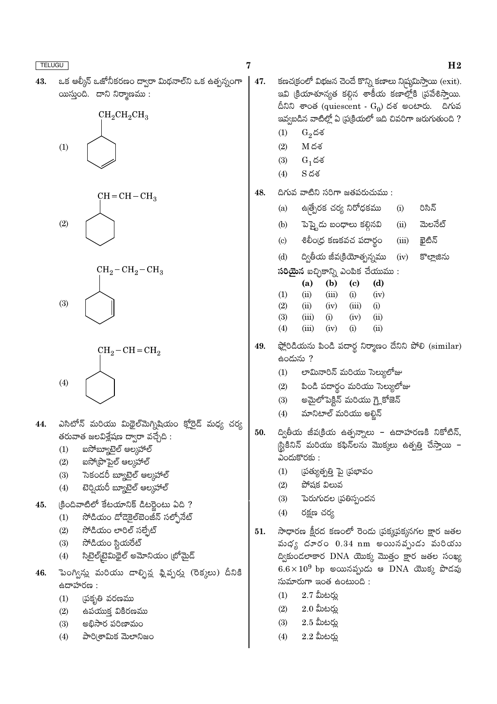| <b>TELUGU</b> |                                                                                                                                                                                                                                                                                    | 7   | H <sub>2</sub>                                                                                                                                                                                                                                                                                                                                                                                                                                              |
|---------------|------------------------------------------------------------------------------------------------------------------------------------------------------------------------------------------------------------------------------------------------------------------------------------|-----|-------------------------------------------------------------------------------------------------------------------------------------------------------------------------------------------------------------------------------------------------------------------------------------------------------------------------------------------------------------------------------------------------------------------------------------------------------------|
| 43.           | ఒక ఆల్కీన్ ఒజోనీకరణం ద్వారా మిథనాల్ని ఒక ఉత్పన్నంగా<br>యిస్తుంది. దాని నిర్మాణము:<br>$CH_2CH_2CH_3$<br>(1)                                                                                                                                                                         | 47. | కణచ(కంలో విభజన చెందే కొన్ని కణాలు ని)పుమిస్తాయి (exit).<br>ఇవి క్రియాశూన్యత కల్గిన శాకీయ కణాల్లోకి (పవేశిస్తాయి.<br>దీనిని శాంత (quiescent - $\mathrm{G}_{0}$ ) దశ అంటారు.  దిగువ<br>ఇవ్వబడిన వాటిల్లో ఏ ప్రక్రియలో ఇది చివరిగా జరుగుతుంది ?<br>(1)<br>$G_2$ దశ<br>$M$ దశ<br>(2)<br>(3)<br>$G_1$ దశ<br>$S \, \breve{\circ} \breve{\circ}$<br>(4)                                                                                                            |
|               | $CH = CH - CH3$<br>(2)<br>$CH_2-CH_2-CH_3$<br>(3)                                                                                                                                                                                                                                  | 48. | దిగువ వాటిని సరిగా జతపరుచుము :<br>ఉత్పేరక చర్య నిరోధకము<br>రిసిన్<br>(i)<br>(a)<br>మెలనేట్<br>పెప్త్టెడు బంధాలు కల్గినవి     (ii)<br>(b)<br>శిలీంద్ర కణకవచ పదార్థం<br>ఖైటిన్<br>(iii)<br>$\left( \mathrm{c}\right)$<br>ద్వితీయ జీవ(కియోత్సన్నము<br>(d)<br>(iv)<br>కొల్లాజిను<br>స <b>రియైన</b> ఐచ్ఛికాన్ని ఎంపిక చేయుము :<br>(d)<br>(b)<br>$\left( \mathbf{c} \right)$<br>(a)<br>(1)<br>(ii)<br>(iii)<br>(i)<br>(iv)<br>(2)<br>(iii)<br>(i)<br>(ii)<br>(iv) |
| 44.           | $CH_2-CH=CH_2$<br>(4)<br>ఎసిటోన్ మరియు మిథైల్మెగ్నిషియం క్లోరైడ్ మధ్య చర్య                                                                                                                                                                                                         | 49. | (3)<br>(i)<br>(iii)<br>(iv)<br>(ii)<br>(iii)<br>(ii)<br>(4)<br>(iv)<br>(i)<br>ఫ్లోరిడియను పిండి పదార్థ నిర్మాణం దేనిని పోలి (similar)<br>ఉందును ?<br>లామినారిన్ మరియు సెల్యులోజు<br>(1)<br>పిండి పదార్థం మరియు సెల్యులోజు<br>(2)<br>అమైలోపెక్టిన్ మరియు గ్లైకోజెన్<br>(3)<br>మానిటాల్ మరియు అల్జిన్<br>(4)                                                                                                                                                  |
| 45.           | తరువాత జలవిశ్లేషణ ద్వారా వచ్చేది :<br>ఐసోబ్యూటైల్ ఆల్కహాల్<br>(1)<br>ఐసో(పొపైల్ ఆల్కహాల్<br>(2)<br>సెకందరీ బ్యూటైల్ ఆల్కహాల్<br>(3)<br>టెర్నియరీ బ్యూటైల్ ఆల్కహాల్<br>(4)<br>క్రిందివాటిలో కేటయానిక్ డిటర్లైంటు ఏది ?<br>సోడియం డోడెకైల్¤ెంజీన్ సల్ఫోనేట్<br>(1)                   | 50. | ద్వితీయ జీవ(కియ ఉత్పన్నాలు – ఉదాహరణకి నికోటిన్,<br> స్టికినిన్ మరియు కఫిన్లను మొక్కలు ఉత్పత్తి చేస్తాయి <mark>–</mark><br>ఎందుకొరకు :<br>(1)<br>(పత్యుత్పత్తి పై (పభావం<br>పోషక విలువ<br>(2)<br>(3)<br>పెరుగుదల (పతిస్పందన<br>(4)<br>రక్షణ చర్య                                                                                                                                                                                                             |
| 46.           | సోడియం లారిల్ సల్ఫేట్<br>(2)<br>సోడియం స్టియరేట్<br>(3)<br>సిటైల్[టైమిథైల్ అమోనియం (బోమైద్<br>(4)<br>పెంగ్విన్లు మరియు డాల్ఫిన్ల ఫ్లిప్పర్లు (రెక్కలు) దీనికి<br>ఉదాహరణ :<br>(పకృతి వరణము<br>(1)<br>ఉపయుక్త వికిరణము<br>(2)<br>అభిసార పరిణామం<br>(3)<br>పారి(శామిక మెలానిజం<br>(4) | 51. | సాధారణ క్షీరద కణంలో రెండు (పక్కపక్కనగల క్షార జతల<br>వుధ్య దూరం $0.34$ nm అయినవ్పుడు మరియు<br>ద్వికుండలాకార DNA యొక్క మొత్తం క్షార జతల సంఖ్య<br>$6.6\times10^9$ bp అయినప్పుడు ఆ DNA యొక్క పొడవు<br>సుమారుగా ఇంత ఉంటుంది :<br>$2.7$ మీటర్లు<br>(1)<br>$2.0$ మీటర్లు<br>(2)<br>$2.5$ మీటర్లు<br>(3)<br>$2.2$ మీటర్లు<br>(4)                                                                                                                                    |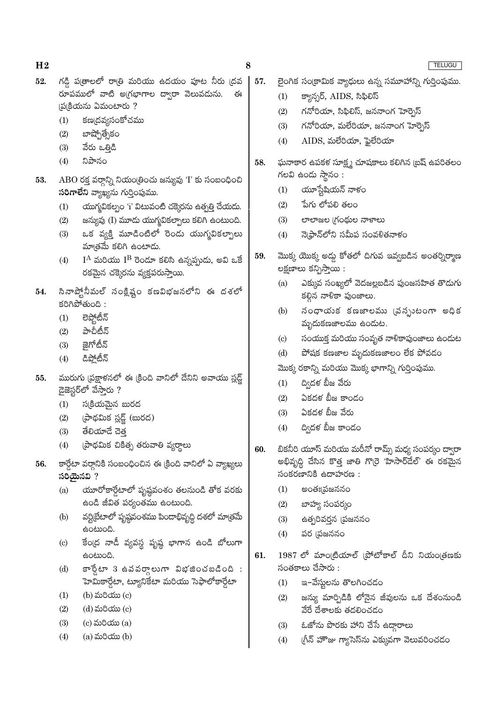- గడ్డి ప్రతాలలో రాత్రి మరియు ఉదయం పూట నీరు (దవ 52. రూపములో వాటి అగ్రభాగాల ద్వారా వెలువడును. ఈ (ప(కియను ఏమంటారు?
	- $(1)$ కణ(దవ్యసంకోచము
	- బాష్పోత్సేకం  $(2)$
	- వేరు ఒత్తిడి  $(3)$
	- నిపానం  $(4)$
- $ABO$  రక్త వర్గాన్ని నియం(తించు జన్యువు 'I' కు సంబంధించి 53. సరిగాలేని వ్యాఖ్యను గుర్తింపుము.
	- యుగ్మవికల్పం 'i' విటువంటి చక్కెరను ఉత్పత్తి చేయదు.  $(1)$
	- జన్యువు (I) మూడు యుగ్మవికల్పాలు కలిగి ఉంటుంది.  $(2)$
	- ఒక వ్యక్తి మూడింటిలో రెండు యుగ్మవికల్పాలు  $(3)$ మాత్రమే కలిగి ఉంటాదు.
	- $I^A$  మరియు  $I^B$  రెండూ కలిసి ఉన్నప్పుడు, అవి ఒకే  $(4)$ రకమైన చక్కెరను వ్యక్తపరుస్తాయి.
- సినాప్త్టోనీమల్ సంక్లిష్టం కణవిభజనలోని ఈ దశలో 54. కరిగిపోతుంది :
	- లెప్తోటీన్  $(1)$
	- పాచీటీన్  $(2)$
	- జైగోటీన్  $(3)$
	- డిప్లోటీన్  $(4)$
- మురుగు (పక్షాళనలో ఈ క్రింది వానిలో దేనిని అవాయు స్లడ్జ్ 55. డైజెస్టర్లో వేసారు ?
	- $(1)$ స్క్రియమైన బురద
	- (పాథమిక స్లడ్జ్ (బురద)  $(2)$
	- తేలియాదే చెత  $(3)$
	- (పాథమిక చికిత్స తరువాతి వ్యర్థాలు  $(4)$
- కార్డేటా వర్గానికి సంబంధించిన ఈ క్రింది వానిలో ఏ వ్యాఖ్యలు 56. సరియైనవి ?
	- యూరోకార్డేటాలో పృష్ఠవంశం తలనుండి తోక వరకు  $(a)$ ఉండి జీవిత పర్యంతము ఉంటుంది.
	- వర్టిబేటాలో పృష్ణవంశము పిందాభివృద్ధి దశలో మాత్రమే  $(b)$ ఉంటుంది.
	- కేంద్ర నాడీ వ్యవస్థ పృష్ణ భాగాన ఉండి బోలుగా  $\left( \text{c} \right)$ ఉంటుంది.
	- $\overline{\mathcal{S}}$   $\mathcal{S}$ లుగా విభజించబడింది:  $(d)$ హెమికార్డేటా, ట్యూనికేటా మరియు సెఫాలోకార్డేటా
	- (b) మరియు (c)  $(1)$
	- $(2)$ (d) మరియు (c)
	- $(3)$  $(c)$  మరియు $(a)$
	- $(4)$  $(a)$  మరియు $(b)$
- లైంగిక సంక్రామిక వ్యాధులు ఉన్న సమూహాన్ని గుర్తింపుము. 57.
	- క్యాన్సర్, AIDS, సిఫిలిస్  $(1)$
	- గనోరియా, సిఫిలిస్, జననాంగ హెర్బెస్  $(2)$
	- గనోరియా, మలేరియా, జననాంగ హెర్నెస్  $(3)$
	- AIDS, మలేరియా, ఫైలేరియా  $(4)$
- 58. ఘనాకార ఉపకళ సూక్ష్మ చూషకాలు కలిగిన (బష్ ఉపరితలం గలవి ఉండు స్థానం :
	- యూస్టేషియన్ నాళం  $(1)$
	- పేగు లోపలి తలం  $(2)$
	- లాలాజల (గంథుల నాళాలు  $(3)$
	- నె(ఫాన్లోని సమీప సంవళితనాళం  $(4)$
- మొక్క యొక్క అడ్డు కోతలో దిగువ ఇవ్వబడిన అంతర్నిర్మాణ 59. లక్షణాలు కన్పిస్తాయి :
	- ఎక్కువ సంఖ్యలో వెదజల్లబడిన పుంజసహిత తొడుగు  $(a)$ కల్గిన నాళికా పుంజాలు.
	- నంధాయక కణజాలము (వస్పుటంగా అధిక  $(b)$ మృదుకణజాలము ఉందుట.
	- సంయుక్త మరియు సంవృత నాళికాపుంజాలు ఉందుట  $(c)$
	- పోషక కణజాల మృదుకణజాలం లేక పోవడం  $(d)$

మొక్క రకాన్ని మరియు మొక్క భాగాన్ని గుర్తింపుము.

- ద్విదళ బీజ వేరు  $(1)$
- ఏకదళ బీజ కాండం  $(2)$
- ఏకదళ బీజ వేరు  $(3)$
- ద్విదళ బీజ కాండం  $(4)$
- బికనీరి యూస్ మరియు మరీనో రామ్స్ మధ్య సంపర్కం ద్వారా 60. అభివృద్ధి చేసిన కొత్త జాతి గొ(రె 'హిసార్డేల్' ఈ రకమైన  $\frac{1}{2}$ సంకరణానికి ఉదాహరణ:
	- అంతః¦పజననం  $(1)$
	- $(2)$ బాహ్య సంపర్కం
	- $(3)$ ఉత్పరివర్తన (పజననం
	- $(4)$ పర (పజననం
- $1987$  లో మాం(టియాల్ (పోటోకాల్ దీని నియం(తణకు 61.  $\tilde{\mathcal{A}}$ ంతకాలు చేసారు :
	- $(1)$ ఇ–వేస్తులను తొలగించడం
	- జస్యు మార్పిడికి లోనైన జీవులను ఒక దేశంనుండి  $(2)$ వేరే దేశాలకు తదలించడం
	- ఓజోను పొరకు హాని చేసే ఉద్దారాలు  $(3)$
	- గ్రీన్ హౌజు గ్యాసెస్ను ఎక్కువగా వెలువరించడం  $(4)$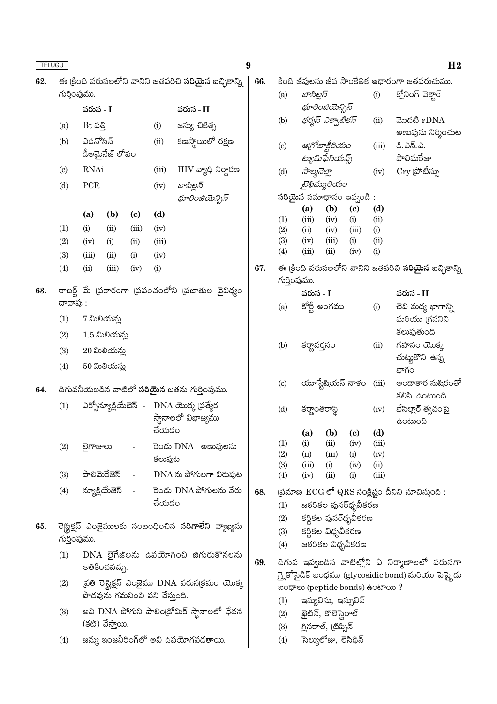| TELUGU |                            |                |                                |                |        |                                                                           | $\boldsymbol{9}$ |                             |               |                                                     |                                   |                           | H <sub>2</sub>                                               |
|--------|----------------------------|----------------|--------------------------------|----------------|--------|---------------------------------------------------------------------------|------------------|-----------------------------|---------------|-----------------------------------------------------|-----------------------------------|---------------------------|--------------------------------------------------------------|
| 62.    |                            |                |                                |                |        | ఈ క్రింది వరుసలలోని వానిని జతపరిచి <b>సరియైన</b> ఐచ్చికాన్ని              | 66.              |                             |               |                                                     |                                   |                           | కింది జీవులను జీవ సాంకేతిక ఆధారంగా జతపరుచుము.                |
|        | గుర్తింపుము.               |                |                                |                |        |                                                                           |                  | (a)                         | బాసిల్లస్     |                                                     |                                   | (i)                       | క్లోనింగ్ వెక్తార్                                           |
|        |                            | వరుస - I       |                                |                |        | వరుస - II                                                                 |                  |                             |               | థూరింజియెన్సిస్                                     |                                   |                           |                                                              |
|        | (a)                        | Bt పత్తి       |                                |                | (i)    | జన్యు చికిత్స                                                             |                  | (b)                         |               | థర్మస్ ఎక్వాటికస్                                   |                                   | (ii)                      | మొదటి rDNA                                                   |
|        | (b)                        | ఎడినోసిన్      |                                |                | (ii)   | కణస్థాయిలో రక్షణ                                                          |                  | $\left( \mathrm{c}\right)$  |               | ఆగ్రోబాక్టీరియం                                     |                                   | (iii)                     | అణువును నిర్మించుట<br>డి.ఎన్.ఎ.                              |
|        |                            |                | డీఅమైనేజ్ లోపం                 |                |        |                                                                           |                  |                             |               | ట్యుమిఫేసియన్స్                                     |                                   |                           | పాలిమరేజు                                                    |
|        | $\left( \mathrm{c}\right)$ | <b>RNAi</b>    |                                |                | (iii)  | $\rm{HIV}$ వ్యాధి నిర్దారణ                                                |                  | (d)                         | సాల్మనెల్లా   |                                                     |                                   | (iv)                      | $\mathrm{Cry}$ (పోటీన్ను                                     |
|        | (d)                        | ${\mbox{PCR}}$ |                                |                | (iv)   | బాసిల్లస్                                                                 |                  |                             |               | టైఫిమ్యురియం                                        |                                   |                           |                                                              |
|        |                            |                |                                |                |        | థూరింజియెన్సిస్                                                           |                  |                             |               | సరియైన సమాధానం ఇవ్వండి:                             |                                   |                           |                                                              |
|        |                            | (a)            | (b)                            | (c)            | (d)    |                                                                           |                  | (1)                         | (a)<br>(iii)  | (b)<br>(iv)                                         | $\left( \mathrm{c}\right)$<br>(i) | (d)<br>(ii)               |                                                              |
|        | (1)                        | (i)            | (ii)                           | (iii)          | (iv)   |                                                                           |                  | (2)                         | (ii)          | (iv)                                                | (iii)                             | (i)                       |                                                              |
|        | (2)                        | (iv)           | (i)                            | (ii)           | (iii)  |                                                                           |                  | (3)                         | (iv)          | (iii)                                               | (i)                               | (ii)                      |                                                              |
|        | (3)                        | (iii)          | (ii)                           | (i)            | (iv)   |                                                                           |                  | (4)                         | (iii)         | (ii)                                                | (iv)                              | (i)                       |                                                              |
|        | (4)                        | (ii)           | (iii)                          | (iv)           | (i)    |                                                                           | 67.              | గుర్తింపుము.                |               |                                                     |                                   |                           | ఈ క్రింది వరుసలలోని వానిని జతపరిచి <b>సరియైన</b> ఐచ్చికాన్ని |
| 63.    |                            |                |                                |                |        | రాబర్ట్ మే (పకారంగా (పపంచంలోని (పజాతుల వైవిధ్యం                           |                  |                             | వరుస - I      |                                                     |                                   |                           | వరుస - II                                                    |
|        | దాదాపు:                    |                |                                |                |        |                                                                           |                  | (a)                         |               | కోర్టీ అంగము                                        |                                   | (i)                       | చెవి మధ్య భాగాన్ని                                           |
|        | (1)                        |                | 7 మిలియన్లు                    |                |        |                                                                           |                  |                             |               |                                                     |                                   |                           | మరియు (గసనిని                                                |
|        | (2)                        |                | $1.5$ మిలియన్లు                |                |        |                                                                           |                  | (b)                         |               |                                                     |                                   | (ii)                      | కలుపుతుంది<br>గహనం యొక్క                                     |
|        | (3)                        |                | $20$ మిలియన్లు                 |                |        |                                                                           |                  |                             | కర్ణావర్తనం   |                                                     |                                   |                           | చుట్టుకొని ఉన్న                                              |
|        | (4)                        |                | 50 మిలియన్లు                   |                |        |                                                                           |                  |                             |               |                                                     |                                   |                           | భాగం                                                         |
| 64.    |                            |                |                                |                |        | దిగువనీయబడిన వాటిలో <b>సరియైన</b> జతను గుర్తింపుము.                       |                  | (c)                         |               | యూస్టేషియన్ నాళం                                    |                                   | (iii)                     | అందాకార సుషిరంతో<br>కలిసి ఉంటుంది                            |
|        | (1)                        |                |                                |                | చేయడం  | ఎక్సోన్యూక్లియేజెస్ - DNA యొక్క ప్రత్యేక<br>స్తానాలలో విభాజ్యము           |                  | (d)                         | కర్ణాంతరాస్థి | (a) (b) (c)                                         |                                   | (iv)<br>(d)               | బేసిల్లార్ త్వచంపై<br><b>doctoon</b>                         |
|        | (2)                        | లైగాజులు       |                                |                |        | రెండు DNA అణువులను                                                        |                  | (1)                         | (i)           | (ii)                                                | (iv)                              | (iii)                     |                                                              |
|        |                            |                |                                |                | కలుపుట |                                                                           |                  | (2)                         | (ii)          | (iii)                                               | (i)                               | (iv)                      |                                                              |
|        | (3)                        |                | పాలిమెరేజెస్                   | $\blacksquare$ |        | DNA ను పోగులగా విరుపుట                                                    |                  | (3)<br>(4)                  | (iii)<br>(iv) | (i)<br>(ii)                                         | (iv)<br>(i)                       | $\dot{\rm (ii)}$<br>(iii) |                                                              |
|        | (4)                        |                | న్యూక్లియేజెస్                 |                |        | రెండు DNA పోగులను వేరు                                                    | 68.              |                             |               |                                                     |                                   |                           |                                                              |
|        |                            |                |                                |                | చేయడం  |                                                                           |                  | (1)                         |               | జఠరికల పునర్ధృవీకరణ                                 |                                   |                           | (పమాణ $\rm ECG$ లో QRS సంక్లిష్టం దీనిని సూచిస్తుంది :       |
|        |                            |                |                                |                |        |                                                                           |                  | (2)                         |               | కర్ణికల పునర్ధృవీకరణ                                |                                   |                           |                                                              |
| 65.    |                            |                |                                |                |        | రె <mark>స్టిక్షన్ ఎంజైములకు సంబంధించిన <b>సరిగాలేని</b> వ్యాఖ్యను</mark> |                  | (3)                         |               | కర్ణికల విధృవీకరణ                                   |                                   |                           |                                                              |
|        | గుర్తింపుము.               |                |                                |                |        |                                                                           |                  | (4)                         |               | జరరికల విధృవీకరణ                                    |                                   |                           |                                                              |
|        | (1)                        |                | అతికించవచ్చు.                  |                |        | $DNA$ లైగేజ్లను ఉపయోగించి జిగురుకొనలను                                    | 69.              |                             |               |                                                     |                                   |                           | దిగువ ఇవ్వబడిన వాటిల్లోని ఏ నిర్మాణాలలో వరుసగా               |
|        | (2)                        |                |                                |                |        | (పతి రె¦స్టిక్షన్ ఎంజైము $\rm{DNA}$ వరుస(కమం యొక్క                        |                  |                             |               |                                                     |                                   |                           | గ్లై కోసైడిక్ బంధము (glycosidic bond) మరియు పెప్టైదు         |
|        |                            |                | పొడవును గమనించి పని చేస్తుంది. |                |        |                                                                           |                  | (1)                         |               | aoගෙ (peptide bonds) සංහා ?<br>ఇన్యులిను, ఇన్సులిన్ |                                   |                           |                                                              |
|        | (3)                        |                |                                |                |        | అవి DNA పోగుని పాలిం(డోమిక్ స్థానాలలో ఛేదన                                |                  | (2)                         |               | ఖైటిన్, కొలెస్టెరాల్                                |                                   |                           |                                                              |
|        |                            |                | (కట్) చేస్తాయి.                |                |        |                                                                           |                  | గ్లిసరాల్, (టిప్సిన్<br>(3) |               |                                                     |                                   |                           |                                                              |
|        | (4)                        |                |                                |                |        | జన్యు ఇంజనీరింగ్లో అవి ఉపయోగపడతాయి.                                       |                  | (4)                         |               | సెల్యులోజు, లెసిథిన్                                |                                   |                           |                                                              |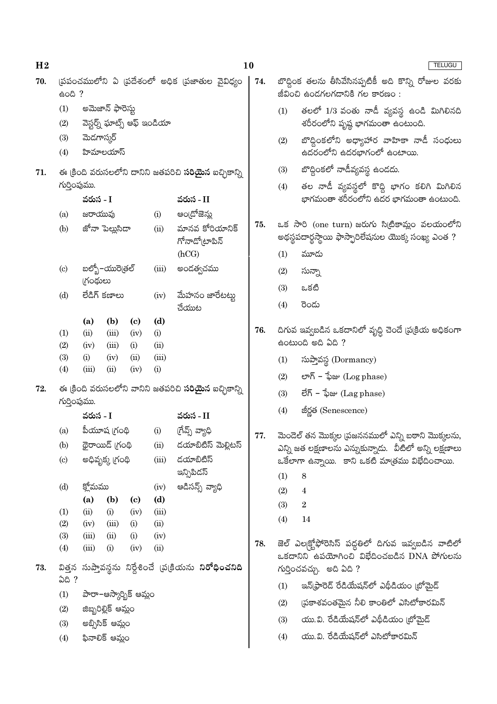| H <sub>2</sub> |                            |              |                                               |                             |                             |                                                                           | 10  |                                                                                         | <b>TELUGU</b>                                                                                                                |  |  |
|----------------|----------------------------|--------------|-----------------------------------------------|-----------------------------|-----------------------------|---------------------------------------------------------------------------|-----|-----------------------------------------------------------------------------------------|------------------------------------------------------------------------------------------------------------------------------|--|--|
| 70.            | 600?                       |              |                                               |                             |                             | స్రపంచములోని ఏ స్రదేశంలో అధిక స్రజాతుల వైవిధ్యం                           | 74. | బొద్దింక తలను తీసివేసినప్పటికీ అది కొన్ని రోజుల వరకు<br>జీవించి ఉండగలగడానికి గల కారణం : |                                                                                                                              |  |  |
|                | (1)<br>(2)                 |              | అమెజాన్ ఫారెస్తు                              |                             | వెస్టర్న్ ఘాట్స్ ఆఫ్ ఇండియా |                                                                           |     | (1)                                                                                     | తలలో 1/3 వంతు నాడీ వ్యవస్థ ఉండి మిగిలినది<br>శరీరంలోని పృష్ఠ భాగమంతా ఉంటుంది.                                                |  |  |
|                | (3)                        | మెడగాస్కర్   |                                               |                             |                             |                                                                           |     | (2)                                                                                     | బొద్దింకలోని అధ్యాహార వాహికా నాడీ సంధులు                                                                                     |  |  |
|                | (4)                        |              | హిమాలయాస్                                     |                             |                             |                                                                           |     |                                                                                         | ఉదరంలోని ఉదరభాగంలో ఉంటాయి.                                                                                                   |  |  |
| 71.            |                            |              |                                               |                             |                             | ఈ క్రింది వరుసలలోని దానిని జతపరిచి <b>సరియైన</b> ఐచ్చికాన్ని              |     | (3)                                                                                     | బొద్గింకలో నాడీవ్యవస్థ ఉండదు.                                                                                                |  |  |
|                | గుర్తింపుము.               |              |                                               |                             |                             |                                                                           |     | (4)                                                                                     | తల నాడీ వ్యవస్థలో కొద్ది భాగం కలిగి మిగిలిన                                                                                  |  |  |
|                |                            | వరుస - I     |                                               |                             |                             | వరుస - II                                                                 |     |                                                                                         | భాగమంతా శరీరంలోని ఉదర భాగమంతా ఉంటుంది.                                                                                       |  |  |
|                | (a)                        | జరాయువు      |                                               |                             | (i)                         | అం[దోజెన్లు                                                               | 75. |                                                                                         | ఒక సారి (one turn) జరుగు సిట్రికామ్లం వలయంలోని                                                                               |  |  |
|                | (b)                        |              | జోనా పెల్లుసిడా                               |                             | (ii)                        | మానవ కోరియానిక్<br>గోనాడో(టాపిన్                                          |     |                                                                                         | అథస్థపదార్థస్థాయి ఫాస్పారిలేషనుల యొక్క సంఖ్య ఎంత ?                                                                           |  |  |
|                |                            |              |                                               |                             |                             | (hCG)                                                                     |     | (1)                                                                                     | మూడు                                                                                                                         |  |  |
|                | $\left( \mathrm{c}\right)$ | గ్రంథులు     | బల్బో–యురె[తల్                                |                             | (iii)                       | అందత్వచము                                                                 |     | (2)                                                                                     | సున్నా                                                                                                                       |  |  |
|                | (d)                        |              | లేడిగ్ కణాలు                                  |                             | (iv)                        | మేహనం జారేటట్టు                                                           |     | (3)                                                                                     | ఒకటి                                                                                                                         |  |  |
|                |                            |              |                                               |                             |                             | చేయుట                                                                     |     | (4)                                                                                     | రెండు                                                                                                                        |  |  |
|                |                            | (a)          | (b)                                           | $\left( \mathbf{c} \right)$ | (d)                         |                                                                           |     |                                                                                         |                                                                                                                              |  |  |
|                | (1)                        | (ii)         | (iii)                                         | (iv)                        | (i)                         |                                                                           | 76. |                                                                                         | దిగువ ఇవ్వబడిన ఒకదానిలో వృద్ధి చెందే (ప(కియ అధికంగా<br>$\frac{1}{6}$ cé con $\frac{1}{6}$ en $\frac{1}{6}$ and $\frac{1}{6}$ |  |  |
|                | (2)<br>(3)                 | (iv)<br>(i)  | (iii)<br>(iv)                                 | (i)<br>(ii)                 | (ii)<br>(iii)               |                                                                           |     |                                                                                         |                                                                                                                              |  |  |
|                | (4)                        | (iii)        | (ii)                                          | (iv)                        | (i)                         |                                                                           |     | (1)                                                                                     | సుప్తావస్థ (Dormancy)                                                                                                        |  |  |
| 72.            |                            |              |                                               |                             |                             | ఈ క్రింది వరుసలలోని వానిని జతపరిచి <b>సరియైన</b> ఐచ్చికాన్ని              |     | (2)                                                                                     | లాగ్ – ఫేజు $(\mathop{\rm Log\,phase})$                                                                                      |  |  |
|                | గుర్తింపుము.               |              |                                               |                             |                             |                                                                           |     | (3)                                                                                     | లేగ్ – ఫేజు $(\rm Lag\,phase)$                                                                                               |  |  |
|                |                            | వరుస - I     |                                               |                             |                             | వరుస - II                                                                 |     | (4)                                                                                     | జీర్ణత (Senescence)                                                                                                          |  |  |
|                | (a)                        |              | పీయూష (గంథి                                   |                             | (i)                         | గ్రేవ్స్ వ్యాధి                                                           | 77. |                                                                                         | మెండెల్ తన మొక్కల (పజననములో ఎన్ని బఠాని మొక్కలను,                                                                            |  |  |
|                | (b)                        |              | థైరాయిడ్ (గంథి                                |                             | (ii)                        | డయాబిటిస్ మెల్లిటస్                                                       |     |                                                                                         | ఎన్ని జత లక్షణాలను ఎన్నుకున్నాడు.  వీటిలో అన్ని లక్షణాలు                                                                     |  |  |
|                | $\left( \mathrm{c}\right)$ |              | అధివృక్క (గంథి                                |                             | (iii)                       | డయాబిటిస్                                                                 |     |                                                                                         | ఒకేలాగా ఉన్నాయి. కాని ఒకటి మాత్రము విభేదించాయి.                                                                              |  |  |
|                |                            |              |                                               |                             |                             | ఇన్సిపిడస్                                                                |     | (1)                                                                                     | 8                                                                                                                            |  |  |
|                | (d)                        | క్లోమము      |                                               |                             | (iv)                        | ఆడిసన్స్ వ్యాధి                                                           |     | (2)                                                                                     | $\overline{4}$                                                                                                               |  |  |
|                |                            | (a)          | (b)                                           | $\left( \mathbf{c} \right)$ | (d)                         |                                                                           |     | (3)                                                                                     | $\boldsymbol{2}$                                                                                                             |  |  |
|                | (1)<br>(2)                 | (ii)<br>(iv) | (i)<br>(iii)                                  | (iv)<br>(i)                 | (iii)<br>(ii)               |                                                                           |     | (4)                                                                                     | 14                                                                                                                           |  |  |
|                | (3)                        | (iii)        | (ii)                                          | (i)                         | (iv)                        |                                                                           |     |                                                                                         |                                                                                                                              |  |  |
|                | (4)                        | (iii)        | (i)                                           | (iv)                        | (ii)                        |                                                                           | 78. |                                                                                         | జెల్ ఎల్కక్టోఫోరెసిస్ పద్ధతిలో దిగువ ఇవ్వబడిన వాటిలో<br>ఒకదానిని ఉపయోగించి విభేదించబడిన DNA పోగులను                          |  |  |
| 73.            | <b>ఏది</b> ?               |              |                                               |                             |                             | విత్తన సుప్తావస్థను నిర్దేశించే <sub></sub> ప(క్రియను <b>నిరోధించనిది</b> |     |                                                                                         | గుర్తించవచ్చు.  అది ఏది ?                                                                                                    |  |  |
|                | (1)                        |              |                                               |                             |                             |                                                                           |     | (1)                                                                                     | ఇన్(ఫ్రారెడ్ రేడియేషన్లో ఎథీడియం (బోమైడ్                                                                                     |  |  |
|                | (2)                        |              | పారా–ఆస్కార్బిక్ ఆమ్లం<br>జిబ్బరిల్లిక్ ఆమ్లం |                             |                             |                                                                           |     | (2)                                                                                     | (పకాశవంతమైన నీలి కాంతిలో ఎసిటోకారమిన్                                                                                        |  |  |
|                | (3)                        |              | అబ్సిసిక్ ఆమ్లం                               |                             |                             |                                                                           |     | (3)                                                                                     | యు.వి. రేడియేషన్లో ఎథీడియం (బోమైడ్                                                                                           |  |  |
|                | (4)                        |              | ఫినాలిక్ ఆమ్లం                                |                             |                             |                                                                           |     | (4)                                                                                     | యు.వి. రేడియేషన్లో ఎసిటోకారమిన్                                                                                              |  |  |
|                |                            |              |                                               |                             |                             |                                                                           |     |                                                                                         |                                                                                                                              |  |  |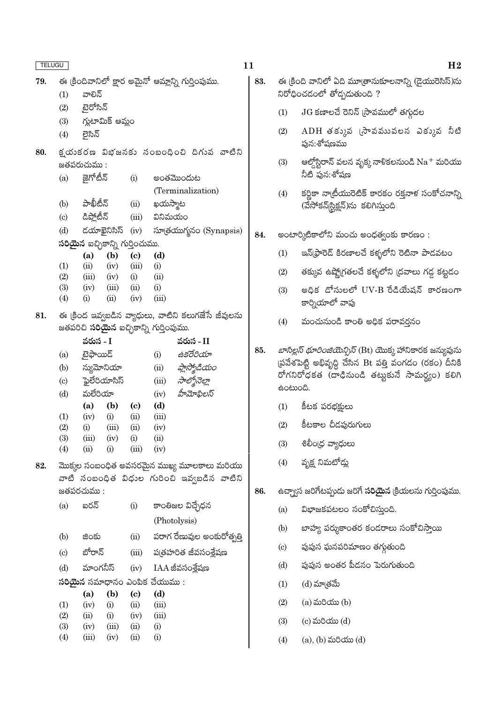| <b>TELUGU</b> |                                                                                                       |                                        |                   |                       |                                      |                                                     |  |  |  |
|---------------|-------------------------------------------------------------------------------------------------------|----------------------------------------|-------------------|-----------------------|--------------------------------------|-----------------------------------------------------|--|--|--|
| 79.           |                                                                                                       |                                        |                   |                       |                                      | ఈ క్రిందివానిలో క్షార అమైనో ఆమ్లాన్ని గుర్తింపుము.  |  |  |  |
|               | (1)                                                                                                   | వాలిన్                                 |                   |                       |                                      |                                                     |  |  |  |
|               | (2)                                                                                                   | టైరోసిన్                               |                   |                       |                                      |                                                     |  |  |  |
|               |                                                                                                       | (3) గ్లుటామిక్ ఆమ్లం                   |                   |                       |                                      |                                                     |  |  |  |
|               | (4)                                                                                                   | లైసిన్                                 |                   |                       |                                      |                                                     |  |  |  |
|               |                                                                                                       |                                        |                   |                       |                                      |                                                     |  |  |  |
| 80.           |                                                                                                       |                                        |                   |                       |                                      | క్షయకరణ విభజనకు సంబంధించి దిగువ వాటిని              |  |  |  |
|               |                                                                                                       | జతపరుచుము :                            |                   |                       |                                      |                                                     |  |  |  |
|               | (a)                                                                                                   | జైగోటీన్                               |                   | (i)                   |                                      | అంతమొందుట                                           |  |  |  |
|               |                                                                                                       |                                        |                   |                       |                                      | (Terminalization)                                   |  |  |  |
|               | (b)                                                                                                   | పాఖీటీన్                               |                   | (ii)                  | ఖయస్మాట                              |                                                     |  |  |  |
|               |                                                                                                       |                                        |                   |                       | (c) డిప్లోటీన్ (iii) వినిమయం         |                                                     |  |  |  |
|               |                                                                                                       |                                        |                   |                       |                                      | (d) దయాఖైనిసిస్ (iv) సూత్రయుగ్మనం (Synapsis)        |  |  |  |
|               |                                                                                                       | <b>సరియైన</b> ఐచ్ఛికాన్ని గుర్తించుము. |                   |                       |                                      |                                                     |  |  |  |
|               |                                                                                                       |                                        | (a) (b) (c) (d)   |                       |                                      |                                                     |  |  |  |
|               | (1)<br>(2)                                                                                            | (ii)<br>(iii) (iv) (i) (ii)            | $(iv)$ $(iii)$    |                       | (i)                                  |                                                     |  |  |  |
|               | (3)                                                                                                   | $(iv)$ $(iii)$ $(ii)$ $(i)$            |                   |                       |                                      |                                                     |  |  |  |
|               | (4)                                                                                                   | $\rm(i)$                               |                   | $(ii)$ $(iv)$ $(iii)$ |                                      |                                                     |  |  |  |
| 81.           |                                                                                                       |                                        |                   |                       |                                      |                                                     |  |  |  |
|               | ఈ క్రింద ఇవ్వబడిన వ్యాధులు, వాటిని కలుగజేసే జీవులను<br>జతపరిచి <b>సరియైన</b> ఐచ్చికాన్ని గుర్తింపుము. |                                        |                   |                       |                                      |                                                     |  |  |  |
|               |                                                                                                       | వరుస - I                               |                   |                       |                                      | వరుస - II                                           |  |  |  |
|               | (a)                                                                                                   | టైఫాయిడ్                               |                   |                       | (i)                                  | ఉకరేరియా                                            |  |  |  |
|               |                                                                                                       | (b) న్యుమోనియా                         |                   |                       |                                      | $\lim$ are and $\lim_{\mathcal{A} \to \mathcal{A}}$ |  |  |  |
|               |                                                                                                       | (c) ప్లైలేరియాసిస్                     |                   |                       |                                      | $(iii)$ సాల్మోనెల్లా                                |  |  |  |
|               | (d)                                                                                                   | మలేరియా                                |                   |                       |                                      | $(iv)$ ప్రీామోఫిలస్                                 |  |  |  |
|               |                                                                                                       |                                        | (a) (b) (c) (d)   |                       |                                      |                                                     |  |  |  |
|               | (1)                                                                                                   | $(iv)$ (i)                             |                   | (ii)                  | (iii)                                |                                                     |  |  |  |
|               | (2)                                                                                                   | (i)                                    | (iii)             | (ii)                  | (iv)                                 |                                                     |  |  |  |
|               | (3)                                                                                                   | (iii)                                  | (iv)              | (i)                   | (ii)                                 |                                                     |  |  |  |
|               | (4)                                                                                                   | (ii)                                   | (i)               | (iii)                 | (iv)                                 |                                                     |  |  |  |
| 82.           |                                                                                                       |                                        |                   |                       |                                      | మొక్కల సంబంధిత అవసరమైన ముఖ్య మూలకాలు మరియు          |  |  |  |
|               |                                                                                                       |                                        |                   |                       |                                      | వాటి సంబంధిత విధుల గురించి ఇవ్వబడిన వాటిని          |  |  |  |
|               |                                                                                                       | జతపరచుము :                             |                   |                       |                                      |                                                     |  |  |  |
|               | (a)                                                                                                   | ఐరన్                                   |                   | (i)                   |                                      | కాంతిజల విచ్ఛేధన                                    |  |  |  |
|               |                                                                                                       |                                        |                   |                       |                                      | (Photolysis)                                        |  |  |  |
|               | (b)                                                                                                   | జింకు                                  |                   | (ii)                  |                                      | పరాగ రేణువుల అంకురోత్పత్తి                          |  |  |  |
|               | $\left( \mathrm{c}\right)$                                                                            | బోరాన్                                 |                   | (iii)                 |                                      | ప(తహరిత జీవసంశ్లేషణ                                 |  |  |  |
|               | (d)                                                                                                   | మాంగనీస్                               |                   | (iv)                  |                                      | IAA జీవసంశ్లేషణ                                     |  |  |  |
|               |                                                                                                       |                                        |                   |                       | <b>సరియైన</b> సమాధానం ఎంపిక చేయుము : |                                                     |  |  |  |
|               |                                                                                                       | (a)                                    | (b)               | (c)                   | (d)                                  |                                                     |  |  |  |
|               | (1)                                                                                                   | (iv)                                   | (i)               | (ii)                  | (iii)                                |                                                     |  |  |  |
|               | (2)<br>(3)                                                                                            | (ii)<br>(iv)                           | $\rm(i)$<br>(iii) | (iv)<br>(ii)          | (iii)<br>(i)                         |                                                     |  |  |  |
|               | (4)                                                                                                   | (iii)                                  | (iv)              | (ii)                  | $\rm(i)$                             |                                                     |  |  |  |

|     | H <sub>2</sub>                                                                                                                                                                            |  |  |  |  |  |  |
|-----|-------------------------------------------------------------------------------------------------------------------------------------------------------------------------------------------|--|--|--|--|--|--|
|     | ఈ (కింది వానిలో ఏది మూ(తానుకూలనాన్ని (డైయురెసిస్)ను<br>నిరోధించడంలో తోడ్పడుతుంది ?                                                                                                        |  |  |  |  |  |  |
| (1) | $\rm{JG}$ కణాలచే రెనిన్ (సావములో తగ్గుదల                                                                                                                                                  |  |  |  |  |  |  |
| (2) | ${\rm ADH}$ తక్కువ (సావమువలన ఎక్కువ నీటి<br>పున:శోషణము                                                                                                                                    |  |  |  |  |  |  |
| (3) | ఆల్డోస్టిరాన్ వలన వృక్క నాళికలనుండి $\mathrm{Na}^+$ మరియు<br>నీటి పున:శోషణ                                                                                                                |  |  |  |  |  |  |
| (4) | కర్ణికా నా(బీయురెటిక్ కారకం రక్తనాళ సంకోచనాన్ని<br>(వేసోకన్ స్టిక్షన్)ను కలిగిస్తుంది                                                                                                     |  |  |  |  |  |  |
|     | అంటార్కిటికాలోని మంచు అంధత్వంకు కారణం :                                                                                                                                                   |  |  |  |  |  |  |
| (1) | ఇన్(ఫ్రారెడ్ కిరణాలచే కళ్ళలోని రెటినా పాడవటం                                                                                                                                              |  |  |  |  |  |  |
| (2) | తక్కువ ఉష్ణో(గతలచే కళ్ళలోని (దవాలు గడ్డ కట్టడం                                                                                                                                            |  |  |  |  |  |  |
| (3) | అధిక డోసులలో UV-B రేడియేషన్ కారణంగా<br>కార్నియాలో వాపు                                                                                                                                    |  |  |  |  |  |  |
| (4) | మంచునుండి కాంతి అధిక పరావర్తనం                                                                                                                                                            |  |  |  |  |  |  |
|     | <i>బాసిల్లస్ ధూరింజియెన్సిస్</i> (Bt) యొక్క హానికారక జన్యువును<br>(పవేశపెట్టి అభివృద్ధి చేసిన Bt పత్తి వంగడం (రకం) దీనికి<br>రోగనిరోధకత (దాఢినుండి తట్టుకునే సామర్థ్యం) కలిగి<br>ఉంటుంది. |  |  |  |  |  |  |
| (1) | కీటక పరభక్షులు                                                                                                                                                                            |  |  |  |  |  |  |
| (2) | కీటకాల చీడపురుగులు                                                                                                                                                                        |  |  |  |  |  |  |
| (3) | శిలీం(ధ వ్యాధులు                                                                                                                                                                          |  |  |  |  |  |  |
| (4) | వృక్ష నిమటోద్లు                                                                                                                                                                           |  |  |  |  |  |  |
|     | ఉచ్చ్యాస జరిగేటప్పుడు జరిగే <b>సరియైన</b> క్రియలను గుర్తింపుము.                                                                                                                           |  |  |  |  |  |  |

- విభాజకపటలం సంకోచిస్తుంది.  $(a)$
- బాహ్య పర్శుకాంతర కండరాలు సంకోచిస్తాయి  $(b)$
- పుపుస ఘనపరిమాణం తగ్గుతుంది  $\left( \mathrm{c}\right)$
- పుపుస అంతర పీడనం పెరుగుతుంది  $\left(\mathrm{d}\right)$
- $(d)$  మా $e$ తమే  $(1)$

 $11$ 

83.

84.

85.

86.

- (a) మరియు $(b)$  $(2)$
- $(c)$  మరియు $(d)$  $(3)$
- $(a)$ ,  $(b)$  మరియు $(d)$  $(4)$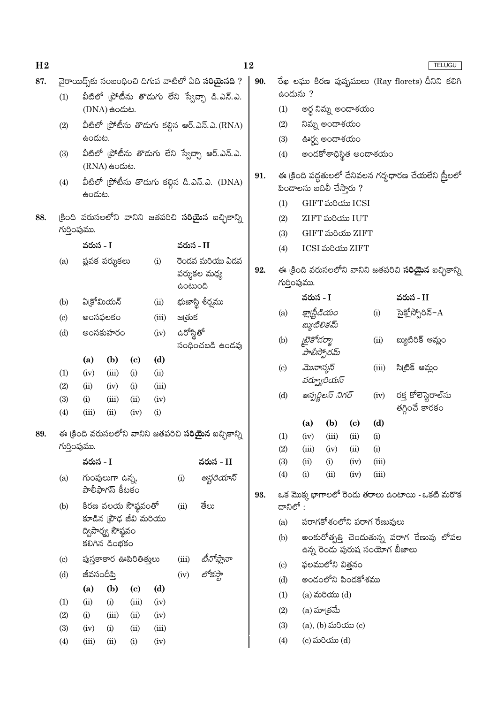| H <sub>2</sub> |                            |                                                        |                                    |                                   |               |           |                                                             | 12  |                                                   |                                                                              |                                 |                             |                            |                                                        | TELUGU |
|----------------|----------------------------|--------------------------------------------------------|------------------------------------|-----------------------------------|---------------|-----------|-------------------------------------------------------------|-----|---------------------------------------------------|------------------------------------------------------------------------------|---------------------------------|-----------------------------|----------------------------|--------------------------------------------------------|--------|
| 87.            |                            |                                                        |                                    |                                   |               |           | వైరాయిద్స్ కు సంబంధించి దిగువ వాటిలో ఏది సరియైనది ?         | 90. | రేఖ లఘు కిరణ పుష్పములు (Ray florets) దీనిని కలిగి |                                                                              |                                 |                             |                            |                                                        |        |
|                | (1)                        |                                                        |                                    |                                   |               |           | వీటిలో (పోటీను తొడుగు లేని స్వేచ్చా డి.ఎన్.ఎ.               |     | ఉందును ?                                          |                                                                              |                                 |                             |                            |                                                        |        |
|                |                            |                                                        | (DNA) සංයාහ.                       |                                   |               |           |                                                             |     | (1)                                               |                                                                              |                                 | అర్ద నిమ్న అండాశయం          |                            |                                                        |        |
|                | (2)                        |                                                        |                                    |                                   |               |           | వీటిలో (పోటీను తొడుగు కల్గిన ఆర్.ఎన్.ఎ.(RNA)                |     | (2)                                               |                                                                              | నిమ్న అండాశయం                   |                             |                            |                                                        |        |
|                |                            | ఉందుట.                                                 |                                    |                                   |               |           |                                                             |     | (3)                                               |                                                                              | ఊర్థ్య అందాశయం                  |                             |                            |                                                        |        |
|                | (3)                        |                                                        | $(RNA)$ ఉందుట.                     |                                   |               |           | వీటిలో (పోటీను తొడుగు లేని స్వేచ్చా ఆర్.ఎన్.ఎ.              |     | (4)                                               |                                                                              |                                 |                             | అందకోశాధిస్థిత అందాశయం     |                                                        |        |
|                | (4)                        | వీటిలో (పోటీను తొడుగు కల్గిన డి.ఎన్.ఎ. (DNA)<br>ఉండుట. |                                    |                                   |               |           |                                                             | 91. |                                                   | విందాలను బదిలీ చేస్తారు ?                                                    |                                 |                             |                            | ఈ క్రింది పద్దతులలో దేనివలన గర్భధారణ చేయలేని స్త్రీలలో |        |
|                |                            |                                                        |                                    |                                   |               |           |                                                             |     | (1)                                               |                                                                              |                                 | GIFT మరియు ICSI             |                            |                                                        |        |
| 88.            |                            |                                                        |                                    |                                   |               |           | (కింది వరుసలలోని వానిని జతపరిచి <b>సరియైన</b> ఐచ్చికాన్ని   |     | (2)                                               |                                                                              |                                 | ZIFT మరియు IUT              |                            |                                                        |        |
|                | గుర్తింపుము.               |                                                        |                                    |                                   |               |           |                                                             |     | (3)                                               |                                                                              |                                 | GIFT మరియు ZIFT             |                            |                                                        |        |
|                |                            | వరుస - I                                               |                                    |                                   |               |           | వరుస - II                                                   |     | (4)                                               |                                                                              |                                 | ICSI మరియు ZIFT             |                            |                                                        |        |
|                | (a)                        |                                                        | ప్లవక పర్శుకలు                     |                                   | (i)           | ఉంటుంది   | రెండవ మరియు ఏడవ<br>పర్శుకల మధ్య                             | 92. |                                                   | ఈ క్రింది వరుసలలోని వానిని జతపరిచి <b>సరియైన</b> ఐచ్చికాన్ని<br>గుర్తింపుము. |                                 |                             |                            |                                                        |        |
|                | (b)                        | ఏ(కోమియన్                                              |                                    |                                   | (ii)          |           | భుజాస్థి శీర్వము                                            |     |                                                   | వరుస - I                                                                     |                                 |                             |                            | వరుస - II                                              |        |
|                | $\left( \mathrm{c}\right)$ | అంసఫలకం                                                |                                    |                                   | (iii)         | జ@తుక     |                                                             |     | (a)                                               |                                                                              | క్లాథ్టీడియం                    |                             | (i)                        | సైక్లోస్పోరిన్– $\rm A$                                |        |
|                | (d)                        |                                                        | అంసకుహరం                           |                                   | (iv)          | ఉరోస్థితో |                                                             |     |                                                   |                                                                              | బ్యుటిలికమ్                     |                             |                            |                                                        |        |
|                |                            |                                                        |                                    |                                   |               |           | సంధించబడి ఉందవు                                             |     | (b)                                               | టైకోడర్మా<br>(ii)<br>పాలీస్పోరమ్                                             |                                 |                             | బ్యుటిరిక్ ఆమ్లం           |                                                        |        |
|                | (1)                        | (a)<br>(iv)                                            | (b)<br>(iii)                       | $\left( \mathrm{c}\right)$<br>(i) | (d)<br>(ii)   |           |                                                             |     | $\left( \mathrm{c}\right)$                        | మొనాస్కస్                                                                    |                                 |                             | (iii)                      | సి(టిక్ ఆమ్లం                                          |        |
|                | (2)                        | (ii)                                                   | (iv)                               | (i)                               | (iii)         |           |                                                             |     | (d)                                               |                                                                              | పర్బూరియస్<br>ఆస్పర్జిలస్ నిగర్ |                             |                            |                                                        |        |
|                | (3)                        | (i)                                                    | (iii)                              | (ii)                              | (iv)          |           |                                                             |     |                                                   |                                                                              |                                 |                             | (iv)                       | రక్త కోలెస్టెరాల్సు<br>తగ్గించే కారకం                  |        |
|                | (4)                        | (iii)                                                  | (ii)                               | (iv)                              | (i)           |           |                                                             |     |                                                   | (a)                                                                          | (b)                             | $\left( \mathbf{c} \right)$ | (d)                        |                                                        |        |
| 89.            |                            |                                                        |                                    |                                   |               |           | ఈ (కింది వరుసలలోని వానిని జతపరిచి <b>సరియైన</b> ఐచ్ఛికాన్ని |     | (1)                                               | (iv)                                                                         | (iii)                           | (ii)                        | (i)                        |                                                        |        |
|                | గుర్తింపుము.               |                                                        |                                    |                                   |               |           |                                                             |     | (2)                                               | (iii)                                                                        | (iv)                            | (ii)                        | (i)                        |                                                        |        |
|                |                            | వరుస - I                                               |                                    |                                   |               |           | వరుస - II                                                   |     | (3)                                               | (ii)                                                                         | (i)                             | (iv)                        | (iii)                      |                                                        |        |
|                | (a)                        |                                                        | గుంపులుగా ఉన్న,<br>పాలీఫాగస్ కీటకం |                                   |               | (i)       | ఆస్టరియాస్                                                  | 93. | (4)                                               | (i)                                                                          | (ii)                            | (iv)                        | (iii)                      | ఒక మొక్క భాగాలలో రెండు తరాలు ఉంటాయి - ఒకటి మరొక        |        |
|                | (b)                        |                                                        |                                    | కిరణ వలయ సౌష్ఠవంతో                |               | (ii)      | తేలు                                                        |     | దానిలో :                                          |                                                                              |                                 |                             |                            |                                                        |        |
|                |                            |                                                        |                                    | కూడిన (పౌఢ జీవి మరియు             |               |           |                                                             |     | (a)                                               |                                                                              |                                 |                             | పరాగకోశంలోని పరాగ రేణువులు |                                                        |        |
|                |                            |                                                        | ద్విపార్శ్వ సౌష్ఠవం                |                                   |               |           |                                                             |     | (b)                                               |                                                                              |                                 |                             |                            | అంకురోత్పత్తి చెందుతున్న పరాగ రేణువు లోపల              |        |
|                |                            |                                                        | కలిగిన డింభకం                      |                                   |               |           |                                                             |     |                                                   |                                                                              |                                 |                             |                            | ఉన్న రెండు పురుష సంయోగ బీజాలు                          |        |
|                | $\left( \mathrm{c}\right)$ |                                                        |                                    | పుస్తకాకార ఊపిరితిత్తులు          |               | (iii)     |                                                             |     | $\left( \mathrm{c}\right)$                        |                                                                              | ఫలములోని విత్తనం                |                             |                            |                                                        |        |
|                | (d)                        | జీవసందీప్తి                                            |                                    |                                   |               | (iv)      |                                                             |     | (d)                                               |                                                                              |                                 | అండంలోని పిండకోశము          |                            |                                                        |        |
|                |                            | (a)                                                    | (b)                                | $\left( \mathrm{c}\right)$        | (d)           |           |                                                             |     | (1)                                               |                                                                              | $(a)$ మరియు $(d)$               |                             |                            |                                                        |        |
|                | (1)                        | (ii)                                                   | (i)                                | (iii)                             | (iv)          |           |                                                             |     | (2)                                               |                                                                              | $(a)$ మా $e$ ్రమే               |                             |                            |                                                        |        |
|                | (2)                        | (i)                                                    | (iii)                              | (ii)                              | (iv)          |           |                                                             |     | (3)                                               |                                                                              | (a), (b) మరియు (c)              |                             |                            |                                                        |        |
|                | (3)<br>(4)                 | (iv)<br>(iii)                                          | (i)<br>(ii)                        | (ii)<br>(i)                       | (iii)<br>(iv) |           |                                                             |     | (4)                                               |                                                                              | (c) మరియు (d)                   |                             |                            |                                                        |        |
|                |                            |                                                        |                                    |                                   |               |           |                                                             |     |                                                   |                                                                              |                                 |                             |                            |                                                        |        |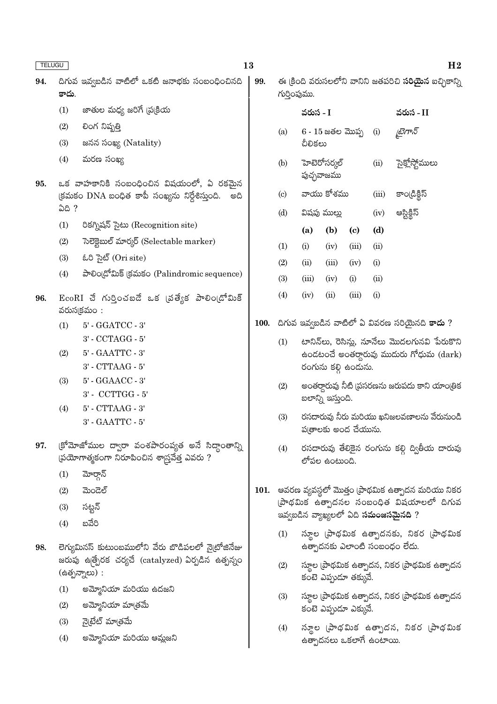| ×<br>×<br>×<br>۰. |
|-------------------|
|-------------------|

| TELUGU |       | 13                                                                                                |             |                            |              |                            |                             |       |                                                                        | H <sub>2</sub> |
|--------|-------|---------------------------------------------------------------------------------------------------|-------------|----------------------------|--------------|----------------------------|-----------------------------|-------|------------------------------------------------------------------------|----------------|
| 94.    | కాదు. | దిగువ ఇవ్వబడిన వాటిలో ఒకటి జనాభకు సంబంధించినది                                                    | 99.         |                            | గుర్తింపుము. |                            |                             |       | ఈ క్రింది వరుసలలోని వానిని జతపరిచి <b>సరియైన</b> ఐచ్చికాన్ని           |                |
|        | (1)   | జాతుల మధ్య జరిగే (ప్రక్రియ                                                                        |             |                            | వరుస - I     |                            |                             |       | వరుస - II                                                              |                |
|        | (2)   | లింగ నిష్పత్తి                                                                                    |             | (a)                        |              | $6 - 15$ జతల మొప్ప         |                             | (i)   | চ্ট্ৰাস্ক                                                              |                |
|        | (3)   | జనన సంఖ్య (Natality)                                                                              |             |                            | చీలికలు      |                            |                             |       |                                                                        |                |
|        | (4)   | మరణ సంఖ్య                                                                                         |             | (b)                        |              | హెటెరోసర్కల్<br>పుచ్ఛవాజము |                             | (ii)  | సైక్లోస్టోములు                                                         |                |
| 95.    |       | ఒక వాహకానికి సంబంధించిన విషయంలో, ఏ రకమైన                                                          |             |                            |              |                            |                             |       |                                                                        |                |
|        | ఏది ? | (కమకం DNA బంధిత కాపీ సంఖ్యను నిర్దేశిస్తుంది.<br>అది                                              |             | $\left( \mathrm{c}\right)$ |              | వాయు కోశము                 |                             | (iii) | కాండ్రిక్టిస్                                                          |                |
|        |       |                                                                                                   |             | (d)                        |              | విషపు ముల్లు               |                             | (iv)  | అస్టిక్దీస్                                                            |                |
|        | (1)   | రికగ్నిషన్ సైటు (Recognition site)                                                                |             |                            | (a)          | (b)                        | $\left( \mathbf{c} \right)$ | (d)   |                                                                        |                |
|        | (2)   | సెలెక్టెబుల్ మార్కర్ (Selectable marker)                                                          |             | (1)                        | (i)          | (iv)                       | (iii)                       | (ii)  |                                                                        |                |
|        | (3)   | ಓರಿ ಸಟರ್ (Ori site)                                                                               |             | (2)                        | (ii)         | (iii)                      | (iv)                        | (i)   |                                                                        |                |
|        | (4)   | పాలిండ్రోమిక్ క్రమకం (Palindromic sequence)                                                       |             | (3)                        | (iii)        | (iv)                       | (i)                         | (ii)  |                                                                        |                |
| 96.    |       | $EcoRI$ చే గుర్తించబడే ఒక (వత్యేక పాలిం(డోమిక్                                                    |             | (4)                        | (iv)         | (ii)                       | (iii)                       | (i)   |                                                                        |                |
|        |       | వరుసక్రమం :                                                                                       |             |                            |              |                            |                             |       |                                                                        |                |
|        | (1)   | $5'$ - $\operatorname{GGATCC}$ - $3'$                                                             | <b>100.</b> |                            |              |                            |                             |       | దిగువ ఇవ్వబడిన వాటిలో ఏ వివరణ సరియైనది <b>కాదు</b> ?                   |                |
|        |       | 3' - CCTAGG - 5'                                                                                  |             | (1)                        |              |                            |                             |       | టానిన్అు, రెసిన్లు, నూనేలు మొదలగునవి పేరుకొని                          |                |
|        | (2)   | $5'$ - $\text{GAATTC}$ - $3'$                                                                     |             |                            |              |                            |                             |       | ఉండటంచే అంతర్ధారువు ముదురు గోధుమ (dark)                                |                |
|        |       | $3'$ - $\operatorname{CTTAAG}$ - $5'$                                                             |             |                            |              |                            | రంగును కల్గి ఉందును.        |       |                                                                        |                |
|        | (3)   | 5' - GGAACC - 3'                                                                                  |             | (2)                        |              |                            |                             |       | అంతర్గారువు నీటి (పసరణను జరుపదు కాని యాంట్రిక                          |                |
|        |       | 3' - CCTTGG - 5'                                                                                  |             |                            |              | బలాన్ని ఇస్తుంది.          |                             |       |                                                                        |                |
|        | (4)   | $5^{\circ}$ - CTTAAG - $3^{\circ}$<br>$3'$ - $\text{GAATTC}$ - $5'$                               |             | (3)                        |              |                            | ప(తాలకు అంద చేయును.         |       | రసదారువు నీరు మరియు ఖనిజలవణాలను వేరునుండి                              |                |
| 97.    |       | క్రోమోజోముల ద్వారా వంశపారంప్యత అనే సిద్ధాంతాన్ని<br>ప్రయోగాత్మకంగా నిరూపించిన శాస్ర్రవేత్త ఎవరు ? |             | (4)                        |              | లోపల ఉంటుంది.              |                             |       | రసదారువు తేలికైన రంగును కల్గి ద్వితీయ దారువు                           |                |
|        | (1)   | మోర్గాన్                                                                                          |             |                            |              |                            |                             |       |                                                                        |                |
|        | (2)   | ಮಿಂದಲ್                                                                                            | 101.        |                            |              |                            |                             |       | ఆవరణ వ్యవస్థలో మొత్తం (పాథమిక ఉత్పాదన మరియు నికర                       |                |
|        | (3)   | సట్టన్                                                                                            |             |                            |              |                            |                             |       | (పాథమిక ఉత్పాదనల సంబంధిత విషయాలలో దిగువ                                |                |
|        | (4)   | బవేరి                                                                                             |             |                            |              |                            |                             |       | ఇవ్వబడిన వ్యాఖ్యలలో ఏది <b>సమంజసమైనది</b> ?                            |                |
| 98.    |       | లెగ్యుమినస్ కుటుంబములోని వేరు బొడిపలలో నైటోజినేజు                                                 |             | (1)                        |              |                            |                             |       | స్థూల (పాథమిక ఉత్పాదనకు, నికర (పాథమిక<br>ఉత్పాదనకు ఎలాంటి సంబంధం లేదు. |                |
|        |       | జరుపు ఉత్ప్రేరక చర్యచే (catalyzed) ఏర్పడిన ఉత్పన్నం<br>(ఉత్పన్నాలు) :                             |             | (2)                        |              |                            | కంటె ఎప్పుడూ తక్కువే.       |       | స్థూల (పాథమిక ఉత్పాదన, నికర (పాథమిక ఉత్పాదన                            |                |
|        | (1)   | అమ్మోనియా మరియు ఉదజని                                                                             |             | (3)                        |              |                            |                             |       |                                                                        |                |
|        | (2)   | అమ్మోనియా మాత్రమే                                                                                 |             |                            |              |                            | కంటె ఎప్పుడూ ఎక్కువే.       |       | స్థూల (పాథమిక ఉత్పాదన, నికర (పాథమిక ఉత్పాదన                            |                |
|        | (3)   | నైటేట్ మాత్రమే                                                                                    |             |                            |              |                            |                             |       |                                                                        |                |
|        | (4)   | అమ్మోనియా మరియు ఆమ్లజని                                                                           |             | (4)                        |              |                            | ఉత్పాదనలు ఒకలాగే ఉంటాయి.    |       | స్యూల (పాథమిక ఉత్పాదన, నికర (పాథమిక                                    |                |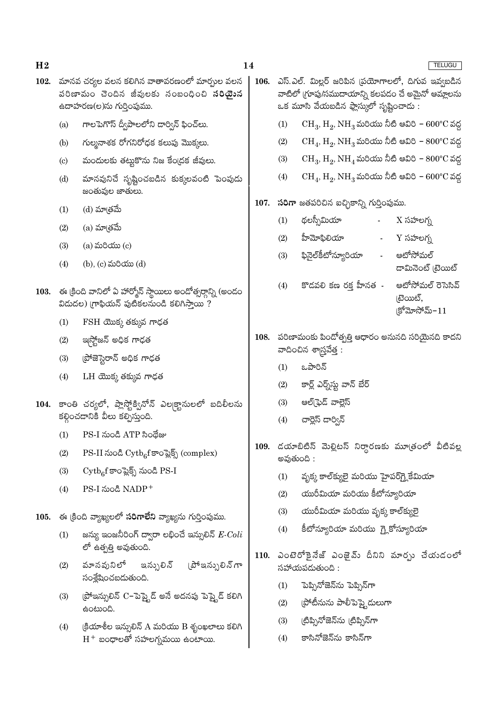- $102.$  మానవ చర్యల వలన కలిగిన వాతావరణంలో మార్చుల వలన 106. పరిణామం చెందిన జీవులకు సంబంధించి **సరియైన** ఉదాహరణ(ల)ను గుర్తింపుము.
	- గాలపెగొస్ ద్వీపాలలోని డార్విన్ ఫించ్లు.  $(a)$
	- గుల్మనాశక రోగనిరోధక కలుపు మొక్కలు.  $(b)$
	- మందులకు తట్టుకొను నిజ కేంద్రక జీవులు.  $\left( \mathrm{c}\right)$
	- $(d)$ మానవునిచే సృష్టించబడిన కుక్కలవంటి పెంపుడు జంతువుల జాతులు.
	- $(1)$ (d) మా[తమే
	- (a) మాత్రమే  $(2)$
	- $(a)$  మరియు $(c)$  $(3)$
	- $(4)$ (b), (c) మరియు (d)
- 103. ఈ క్రింది వానిలో ఏ హార్మోన్ స్థాయిలు అందోత్సర్గాన్ని (అందం విడుదల) గ్రాఫియన్ పుటికలనుండి కలిగిస్తాయి ?
	- $FSH$  యొక్క తక్కువ గాఢత  $(1)$
	- ఇస్త్రోజన్ అధిక గాఢత  $(2)$
	- ప్రోజెస్టెరాన్ అధిక గాఢత  $(3)$
	- $LH$  యొక్క తక్కువ గాఢత  $(4)$
- 104. కాంతి చర్యలో, ప్లాస్త్రోక్వినోన్ ఎల్కక్టానులలో బదిలీలను కల్గించడానికి వీలు కల్పిస్తుంది.
	- PS-I నుండి ATP సింథేజు  $(1)$
	- PS-II నుండి Cytb<sub>6</sub>f కాంప్లెక్స్ (complex)  $(2)$
	- $\mathrm{Cytb}_c$ f కాంపైక్స్ నుండి PS-I  $(3)$
	- PS-I నుండి NADP<sup>+</sup>  $(4)$
- 105. ఈ క్రింది వ్యాఖ్యలలో సరిగాలేని వ్యాఖ్యను గుర్తింపుము.
	- జన్యు ఇంజనీరింగ్ ద్వారా లభించే ఇన్సులిన్  $E\text{-}Coli$  $(1)$ లో ఉత్పత్తి అవుతుంది.
	- వూనవునిలో ఇన్సులిన్ (పోఇన్పులిన్ గా  $(2)$ సంశ్లేషించబడుతుంది.
	- (పోఇన్సులిన్ C–పెప్త్టెడ్ అనే అదనపు పెప్త్టెడ్ కలిగి  $(3)$ ఉంటుంది.
	- $(4)$  $\xi$ యాశీల ఇన్సులిన్ A మరియు B శృంఖలాలు కలిగి  $H^+$  బంధాలతో సహలగ్నమయి ఉంటాయి.

|      |     |                                                                                                                                                   | <b>TELUGU</b>                                       |  |  |  |  |  |  |  |  |
|------|-----|---------------------------------------------------------------------------------------------------------------------------------------------------|-----------------------------------------------------|--|--|--|--|--|--|--|--|
| 106. |     | ఎస్.ఎల్. మిల్లర్ జరిపిన (పయోగాలలో, దిగువ ఇవ్వబడిన<br>వాటిలో (గూపు/సముదాయాన్ని కలపడం చే అమైనో ఆమ్లాలను<br>ఒక మూసి వేయబడిన ఫ్లాస్కులో సృష్టించాడు : |                                                     |  |  |  |  |  |  |  |  |
|      | (1) | $CH_3, H_2, NH_3$ మరియు నీటి ఆవిరి – 600°C వద్ద                                                                                                   |                                                     |  |  |  |  |  |  |  |  |
|      | (2) | $CH_4$ , $H_2$ , $NH_3$ మరియు నీటి ఆవిరి – $800^{\circ}$ C వద్ద                                                                                   |                                                     |  |  |  |  |  |  |  |  |
|      | (3) | $CH_3, H_2, NH_4$ మరియు నీటి ఆవిరి – $800^{\circ}$ C వద్ద                                                                                         |                                                     |  |  |  |  |  |  |  |  |
|      | (4) | $CH_4$ , $H_2$ , $NH_3$ మరియు నీటి ఆవిరి – $600^{\circ}$ C వద్ద                                                                                   |                                                     |  |  |  |  |  |  |  |  |
| 107. |     | సరిగా జతపరిచిన ఐచ్ఛికాన్ని గుర్తింపుము.                                                                                                           |                                                     |  |  |  |  |  |  |  |  |
|      | (1) | థలస్సీమియా                                                                                                                                        | $X \text{ x}$ హలగ్న                                 |  |  |  |  |  |  |  |  |
|      | (2) | హీమోఫిలియా                                                                                                                                        | $Y$ సహలగ్న                                          |  |  |  |  |  |  |  |  |
|      | (3) | ఫినైల్కీటోన్యూరియా                                                                                                                                | ఆటోసోమల్<br><mark>దామినెంట్ (టెయిట్</mark>          |  |  |  |  |  |  |  |  |
|      | (4) | కొడవలి కణ రక్త హీనత -                                                                                                                             | ఆటోసోమల్ రెసెసివ్<br>టైయిట్,<br>$ S^6$ మోసోమ్ $-11$ |  |  |  |  |  |  |  |  |
| 108. |     | పరిణామంకు పిందోత్పత్తి ఆధారం అనునది సరియైనది కాదని<br>వాదించిన శాద్ర్షవేత్త :                                                                     |                                                     |  |  |  |  |  |  |  |  |
|      | (1) | ఒపారిన్                                                                                                                                           |                                                     |  |  |  |  |  |  |  |  |
|      |     | (2) - కార్ల్ ఎర్న్స్ట్ వాన్ బేర్                                                                                                                  |                                                     |  |  |  |  |  |  |  |  |
|      |     | (3) ఆల్(ఫెడ్ వాల్లెస్                                                                                                                             |                                                     |  |  |  |  |  |  |  |  |
|      | (4) | చార్లెస్ దార్విన్                                                                                                                                 |                                                     |  |  |  |  |  |  |  |  |

- 109. దయాబిటిస్ మెల్లిటస్ నిర్ధారణకు మూత్రంలో వీటివల్ల అవుతుంది :
	- వృక్క కాల్క్యులై మరియు హైపర్గ్లైకేమియా  $(1)$
	- యురీమియా మరియు కీటోన్వూరియా  $(2)$
	- $(3)$ యురీమియా మరియు వృక్క కాల్క్యులై
	- కీటోన్యూరియా మరియు గ్లైకోస్యూరియా  $(4)$
- 110. ఎంటెరోకైనేజ్ ఎంజైమ్ దీనిని మార్సు చేయడంలో సహాయపడుతుంది:
	- పెప్పినోజెన్ను పెప్పిన్గా  $(1)$
	- (పోటీనును పాలీపెప్త్టెడులుగా  $(2)$
	- (టిప్పినోజెన్ను (టిప్పిన్గా  $(3)$
	- కాసినోజెన్ను కాసిన్గా  $(4)$

14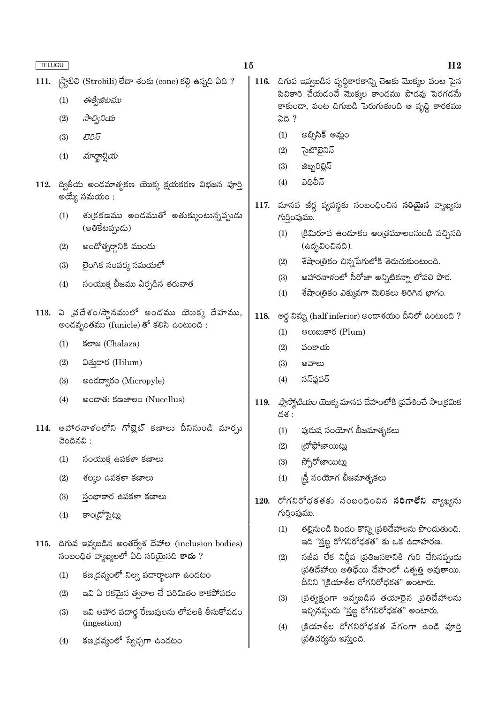|      | <b>TELUGU</b>                                                                                   |                                                           | 15   |                                                                                                          | H <sub>2</sub>                                                                           |  |
|------|-------------------------------------------------------------------------------------------------|-----------------------------------------------------------|------|----------------------------------------------------------------------------------------------------------|------------------------------------------------------------------------------------------|--|
| 111. |                                                                                                 | ్గస్టాబిలి (Strobili) లేదా శంకు (cone) కల్గి ఉన్నది ఏది ? |      | 116. దిగువ ఇవ్వబడిన వృద్ధికారకాన్ని చెఱకు మొక్కల పంట పైన<br>పిచికారి చేయడంచే మొక్కల కాండము పొడవు పెరగడమే |                                                                                          |  |
|      | (1)                                                                                             | ఈక్విజిటము                                                |      |                                                                                                          | కాకుండా, పంట దిగుబడి పెరుగుతుంది ఆ వృద్ధి కారకము                                         |  |
|      | (2)                                                                                             | సాల్వినియ                                                 |      |                                                                                                          | ఏది ?                                                                                    |  |
|      | (3)                                                                                             | టెరిస్                                                    |      | (1)                                                                                                      | అబ్సిసిక్ ఆమ్లం                                                                          |  |
|      | (4)                                                                                             | మార్ఖాన్షియ                                               |      | (2)                                                                                                      | సైటొఖైనిన్                                                                               |  |
|      |                                                                                                 |                                                           |      | (3)                                                                                                      | జిబ్బరిల్లిన్                                                                            |  |
| 112. | ద్వితీయ అండమాతృకణ యొక్క క్షయకరణ విభజన పూర్తి<br>అయ్యే సమయం :                                    |                                                           |      | (4)                                                                                                      | ఎథిలీన్                                                                                  |  |
|      | (1)                                                                                             | శు(కకణము అండముతో అతుక్కుంటున్నప్పుడు                      |      | మానవ జీర్ణ వ్యవస్థకు సంబంధించిన <b>సరియైన</b> వ్యాఖ్యను<br>గుర్తింపుము.                                  |                                                                                          |  |
|      |                                                                                                 | (అతికేటప్పుడు)                                            |      | (1)                                                                                                      | క్రిమిరూప ఉండూకం ఆంత్రమూలంనుండి వచ్చినది                                                 |  |
|      | (2)                                                                                             | అందోత్సర్గానికి ముందు                                     |      |                                                                                                          | (ఉద్భవించినది).                                                                          |  |
|      | (3)                                                                                             | లైంగిక సంపర్క సమయలో                                       |      | (2)                                                                                                      | శేషాంత్రికం చిన్నపేగులోకి తెరుచుకుంటుంది.                                                |  |
|      | (4)                                                                                             | సంయుక్త బీజము ఏర్పడిన తరువాత                              |      | (3)                                                                                                      | ఆహారనాళంలో సీరోజా అన్నిటికన్నా లోపలి పొర.                                                |  |
|      |                                                                                                 |                                                           |      | (4)                                                                                                      | శేషాంత్రికం ఎక్కువగా మెలికలు తిరిగిన భాగం.                                               |  |
|      | $113.$ ఏ (పదేశం/స్థానములో అండము యొక్క దేహము,<br>అందవృంతము (funicle) తో కలిసి ఉంటుంది :          |                                                           | 118. |                                                                                                          | అర్ధ నిమ్న (half inferior) అందాశయం దీనిలో ఉంటుంది ?                                      |  |
|      |                                                                                                 |                                                           |      | (1)                                                                                                      | ෂಲාසාපර (Plum)                                                                           |  |
|      | (1)                                                                                             | ජපාස (Chalaza)                                            |      | (2)                                                                                                      | వంకాయ                                                                                    |  |
|      | (2)                                                                                             | ವಿత్తుదార (Hilum)                                         |      | (3)                                                                                                      | ఆవాలు                                                                                    |  |
|      | (3)                                                                                             | అండద్వారం (Micropyle)                                     |      | (4)                                                                                                      | సన్ఫ్లవర్                                                                                |  |
|      | (4)                                                                                             | ಅಂದ್ <b>ತೆ: క</b> ಣಜ್ <b>ಲಂ</b> (Nucellus)                | 119. | దశ :                                                                                                     | <i>ప్లాస్మోడియం</i> యొక్క మానవ దేహంలోకి (పవేశించే సాంక్రమిక                              |  |
|      | 114. ఆహారనాళంలోని గోబ్లెట్ కణాలు దీనినుండి మార్చు<br>చెందినవి:                                  |                                                           |      | (1)                                                                                                      | పురుష సంయోగ బీజమాతృకలు                                                                   |  |
|      |                                                                                                 |                                                           |      | (2)                                                                                                      | కోఫోజాయిట్లు                                                                             |  |
|      | (1)                                                                                             | సంయుక్త ఉపకళా కణాలు                                       |      | (3)                                                                                                      | స్పోరోజాయిట్లు                                                                           |  |
|      | (2)                                                                                             | శల్మల ఉపకళా కణాలు                                         | 120. | (4)                                                                                                      | న్తీ సంయోగ బీజమాతృకలు                                                                    |  |
|      | (3)                                                                                             | స్తంభాకార ఉపకళా కణాలు                                     |      | రోగనిరోధకతకు సంబంధించిన <b>సరిగాలేని</b> వ్యాఖ్యను                                                       |                                                                                          |  |
|      | (4)                                                                                             | కాం[డోసైట్లు                                              |      |                                                                                                          | గుర్తింపుము.                                                                             |  |
|      |                                                                                                 |                                                           |      | (1)                                                                                                      | తల్లినుండి పిండం కొన్ని [పతిదేహాలను పొందుతుంది.<br>ఇది "స్తబ్ద రోగనిరోధకత" కు ఒక ఉదాహరణ. |  |
|      | 115. దిగువ ఇవ్వబడిన అంతర్వేశ దేహాల (inclusion bodies)<br>సంబంధిత వ్యాఖ్యలలో ఏది సరియైనది కాదు ? |                                                           |      | (2)                                                                                                      | సజీవ లేక నిర్ణీవ (పతిజనకానికి గురి చేసినప్పుడు                                           |  |
|      | కణ(దవ్యంలో నిల్వ పదార్థాలుగా ఉండటం<br>(1)                                                       |                                                           |      |                                                                                                          | ప్రతిదేహాలు అతిథేయి దేహంలో ఉత్పత్తి అవుతాయి.<br>దీనిని "క్రియాశీల రోగనిరోధకత" అంటారు.    |  |
|      | (2)                                                                                             | ఇవి ఏ రకమైన త్వచాల చే పరిమితం కాకపోవడం                    |      | (3)                                                                                                      | స్రత్యక్షంగా ఇవ్వబడిన తయారైన (పతిదేహాలను                                                 |  |
|      | (3)                                                                                             | ఇవి ఆహార పదార్థ రేణువులను లోపలకి తీసుకోవడం<br>(ingestion) |      |                                                                                                          | ఇచ్చినప్పుడు "స్తబ్ద రోగనిరోధకత" అంటారు.                                                 |  |
|      | (4)                                                                                             | కణ(దవ్యంలో స్వేచ్ఛగా ఉండటం                                |      | (4)                                                                                                      | క్రియాశీల రోగనిరోధకత వేగంగా ఉండి పూర్తి<br>(పతిచర్యను ఇస్తుంది.                          |  |
|      |                                                                                                 |                                                           |      |                                                                                                          |                                                                                          |  |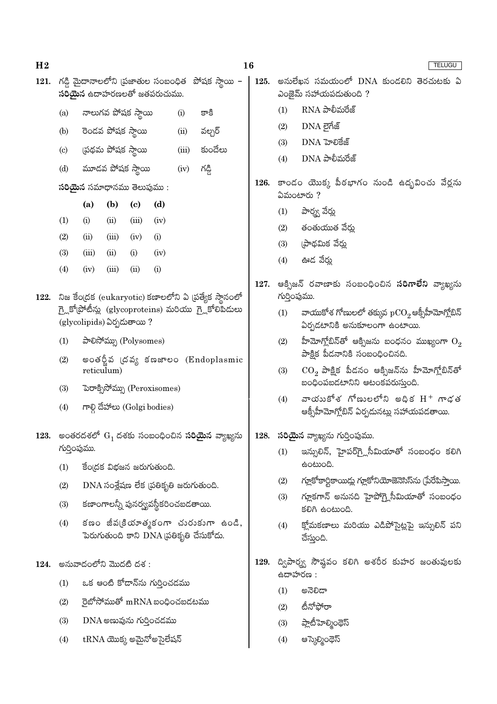121. గడ్డి మైదానాలలోని (ప్రజాతుల సంబంధిత పోషక స్థాయి -

సరియైన ఉదాహరణలతో జతపరుచుము.

125.

TELUGU

అనులేఖన సమయంలో DNA కుండలిని తెరచుటకు ఏ

ఎంజైమ్ సహాయపడుతుంది ?

 $(1)$  $RNA$  పాలీమరేజ్ నాలుగవ పోషక స్థాయి  $(i)$ కాకి  $(a)$  $(2)$ DNA లైగేజ్  $(b)$ రెండవ పోషక స్థాయి  $(ii)$ వల్చర్ DNA హెలికేజ్  $(3)$  $(c)$ స్రథమ పోషక స్థాయి  $(iii)$ కుందేలు  $DNA$  పాలీమరేజ్  $(4)$ మూడవ పోషక స్థాయి  $(d)$  $(iv)$ గడ్డి 126. కాండం యొక్క పీఠభాగం నుండి ఉదృవించు వేర్లను  $\delta$ రియైన సమాధానము తెలుపుము:  $2500$ టారు ?  $(a)$  $(b)$  $\left( \mathrm{c}\right)$  $(d)$ పార్మ్స వేర్హు  $(1)$  $(1)$  $(i)$  $(ii)$  $(iii)$  $(iv)$ తంతుయుత వేర్తు  $(2)$  $(2)$  $(iii)$  $(iv)$  $(i)$  $(ii)$  $(3)$ ్రపాథమిక వేర్తు  $(3)$  $(iii)$  $(ii)$  $(i)$  $(iv)$  $(4)$ ఊడ వేర్తు  $(4)$  $(iv)$  $(iii)$  $(ii)$  $(i)$ 127. ఆక్సిజన్ రవాణాకు సంబంధించిన **సరిగాలేని** వ్యాఖ్యను 122. నిజ కేంద్రక (eukaryotic) కణాలలోని ఏ వ్రత్యేక స్థానంలో గుర్తింపుము. గ్లై కోట్రోటీన్లు (glycoproteins) మరియు గ్లైకోలిపీడులు వాయుకోశ గోణులలో తక్కువ  $\mathrm{pCO}_2$ ఆక్సీహీమోగ్లోబిన్  $(1)$ (glycolipids) ఏర్పడుతాయి? ఏర్పడటానికి అనుకూలంగా ఉంటాయి. పాలిసోమ్సు (Polysomes) హీమోగ్లోబిన్తో ఆక్సిజను బంధనం ముఖ్యంగా  $\mathrm{O}_2$  $(1)$  $(2)$ పాక్షిక పీడనానికి సంబంధించినది. అంతర్జీవ (దవ్య కణజాలం (Endoplasmic  $(2)$  $(3)$  $\mathrm{CO}_2$  పాక్షిక పీడనం ఆక్సిజన్ను హీమోగ్లోబిన్తో reticulum) బందింపబడటానిని ఆటంకపరుసుంది.  $(3)$ పెరాక్సిసోమ్ను (Peroxisomes) వాయుకోశ గోణులలోని అధిక $H^+$  గాడత  $(4)$ గాల్గి దేహాలు (Golgi bodies)  $(4)$ ఆక్సీహీమోగ్తోబిన్ ఏర్పదునట్లు సహాయపడతాయి. 123. అంతరదశలో  $G_1$  దశకు సంబంధించిన సరియైన వ్యాఖ్యను  $128.$  సరియైన వ్యాఖ్యను గుర్తింపుము. గుర్తింపుము. ఇన్సులిన్, హైపర్గ్లెసీమియాతో సంబంధం కలిగి  $(1)$ ఉంటుంది. కేంద్రక విభజన జరుగుతుంది.  $(1)$ గ్లూకోకార్టికాయిడ్లు గ్లూకోనియోజెనెసిస్ను (పేరేపిస్తాయి.  $(2)$  $DNA$  సంశ్లేషణ లేక (పతికృతి జరుగుతుంది.  $(2)$ గ్లూకగాన్ అనునది హైపోగ్గ్లెసీమియాతో సంబంధం  $(3)$ కణాంగాలన్నీ పునర్వ్యవస్థీకరించబడతాయి.  $(3)$ కలిగి ఉంటుంది. కణం జీవ(కియాత్మకంగా చురుకుగా ఉండి,  $(4)$ క్తోమకణాలు మరియు ఎడిపోసైట్లపై ఇన్నులిన్ పని  $(4)$ పెరుగుతుంది కాని DNA ప్రతికృతి చేసుకోదు. చేస్తుంది. 129. ద్విపార్మ్వ సౌష్ఠం కలిగి అశరీర కుహర జంతువులకు  $124.$  అనువాదంలోని మొదటి దశ: ఉదాహరణ : ఒక ఆంటి కోడాన్ను గుర్తించడము  $(1)$  $(1)$ ಅನೆಲಿದ್ ైబోసోముతో  $mRNA$  బంధించబడటము  $(2)$ టీనోఫోరా  $(2)$  $(3)$  $DNA$  అణువును గురించడము  $(3)$ ప్లాటిహెల్మింథెస్  $tRNA$  యొక్క అమైనోఅసైలేషన్  $(4)$  $(4)$ ఆస్కెల్మింథెస్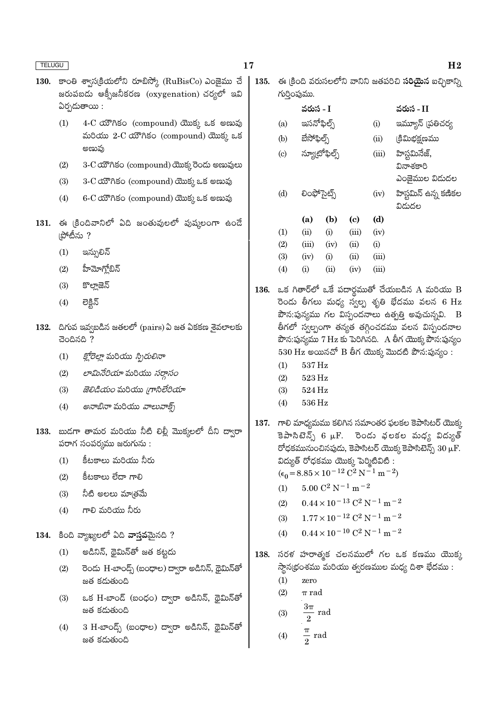|--|

- 130. కాంతి శ్వాస(కియలోని రూబిస్కో (RuBisCo) ఎంజైము చే జరుపబడు ఆక్సీజనీకరణ (oxygenation) చర్యలో ఇవి  $\delta$ ర్చదుతాయి:
	- 4-C యౌగికం (compound) యొక్క ఒక అణువు  $(1)$ మరియు 2-C యౌగికం (compound) యొక్క ఒక అణువు
	- 3-C యౌగికం (compound) యొక్క రెండు అణువులు  $(2)$
	- $(3)$ 3-C యౌగికం (compound) యొక్క ఒక అణువు
	- $6$ - $C$  රාීෆීර් (compound) యొక్క ఒక అణువు  $(4)$
- 131. ఈ క్రిందివానిలో ఏది జంతువులలో పుష్కలంగా ఉండే ౹పోటీను ?
	- ఇన్సులిన్  $(1)$
	- హీమోగ్తోబిన్  $(2)$
	- $(3)$ కొల్లాజెన్
	- లెక్షిన్  $(4)$
- $132.$  దిగువ ఇవ్వబడిన జతలలో (pairs) ఏ జత ఏకకణ శైవలాలకు  $300000?$ 
	- *క్హోరెల్లా* మరియు *స్పిరులినా*  $(1)$
	- లామినేరియా మరియు సరాసం  $(2)$
	- $(3)$ జెలిడియం మరియు గ్రాసిలేరియా
	- *అనాబినా* మరియు *వాలువాక్స్*  $(4)$
- 133. బుడగా తామర మరియు నీటి లిల్లీ మొక్కలలో దీని ద్వారా పరాగ సంపర్శము జరుగును:
	- $(1)$ కీటకాలు మరియు నీరు
	- కీటకాలు లేదా గాలి  $(2)$
	- $(3)$ నీటి అలలు మాౖతమే
	- గాలి మరియు నీరు  $(4)$

134. కింది వ్యాఖ్యలలో ఏది వాసనమైనది ?

- అడినిన్, థైమిన్తో జత కట్టదు  $(1)$
- రెండు H-బాండ్స్ (బంధాల) ద్వారా అడినిన్, థైమిన్**తో**  $(2)$ జత కడుతుంది
- ఒక H-బాండ్ (బంధం) ద్వారా అడినిన్, థైమిన్**తో**  $(3)$ జత కడుతుంది
- $3$  H-బాండ్స్ (బంధాల) ద్వారా అడినిన్, థైమిన్తో  $(4)$ జత కడుతుంది
- ఈ క్రింది వరుసలలోని వానిని జతపరిచి **సరియైన** ఐచ్చికాన్ని 135. గుర్తింపుము.
	- వరుస $-I$ నరుస $-I$ ఇమ్యూన్ (పతిచర్య ఇసనోఫిల్స్  $(a)$  $(i)$ బేసోఫిల్స్  $(b)$ క్రిమిభక్షణము
	- $(ii)$ హిస్టమినేజ్, న్యూటోఫిల్స్  $\left( \mathrm{c}\right)$  $(iii)$ వినాశకారి
		- ఎంజైముల విడుదల
		- హిస్టమిన్ ఉన్న కణికల  $(iv)$ విడుదల

|                   | (a)      | (b)        | (c)   | (d)   |
|-------------------|----------|------------|-------|-------|
| $\left( 1\right)$ | (ii)     | (i)        | (iii) | (iv)  |
| (2)               | (iii)    | (iv)       | (ii)  | (i)   |
| (3)               | (iv)     | (i)        | (ii)  | (iii) |
| $\left( 4\right)$ | $\rm(i)$ | $\rm (11)$ | (iv)  | (iii) |

లింఫోసెట్స్

- 136. ఒక గితార్లో ఒకే పదార్థముతో చేయబడిన A మరియు B రెండు తీగలు మధ్య స్వల్ప శృతి భేదము వలన 6  $\rm Hz$  $\vec{a}$ ిన:పున్యము గల విస్పందనాలు ఉత్పత్తి అవుచున్నవి. B తీగలో స్వల్పంగా తన్యత తగ్గించడము వలన విస్పందనాల పౌన:పున్యము 7 Hz కు పెరిగినది. A తీగ యొక్క పౌన:పున్యం  $530$  Hz అయినచో B తీగ యొక్క మొదటి పౌన:పున్యం:
	- $537\,\mathrm{Hz}$  $(1)$

 $(d)$ 

- $(2)$ 523 Hz
- $(3)$ 524 Hz
- $(4)$ 536 Hz
- 137. గాలి మాధ్యమము కలిగిన సమాంతర ఫలకల కెపాసిటర్ యొక్క కెపాసిటెన్స్ 6  $\mu$ F. రెండు వలకల మధ్య విద్యుత్ రోధకమునుంచినపుడు, కెపాసిటర్ యొక్క కెపాసిటెన్స్  $30 \,\rm \mu F.$ విద్యుత్ రోధకము యొక్క పెర్మిటివిటి :  $(\epsilon_0 = 8.85 \times 10^{-12} \text{ C}^2 \text{ N}^{-1} \text{ m}^{-2})$ 
	- $5.00 C^2 N^{-1} m^{-2}$  $(1)$
	- $0.44 \times 10^{-13}$  C<sup>2</sup> N<sup>-1</sup> m<sup>-2</sup>  $(2)$
	- $1.77 \times 10^{-12}$  C<sup>2</sup> N<sup>-1</sup> m<sup>-2</sup>  $(3)$
	- $0.44 \times 10^{-10}$  C<sup>2</sup> N<sup>-1</sup> m<sup>-2</sup>  $(4)$
- 138. సరళ హరాత్మక చలనములో గల ఒక కణము యొక<u>్</u> స్థాన(భంశము మరియు త్వరణముల మధ్య దిశా భేదము :
	- $(1)$ zero
	- $(2)$  $\pi$  rad

$$
(3) \qquad \frac{3\pi}{2} \text{ rad}
$$

$$
(4) \qquad \frac{\pi}{2} \text{ rad}
$$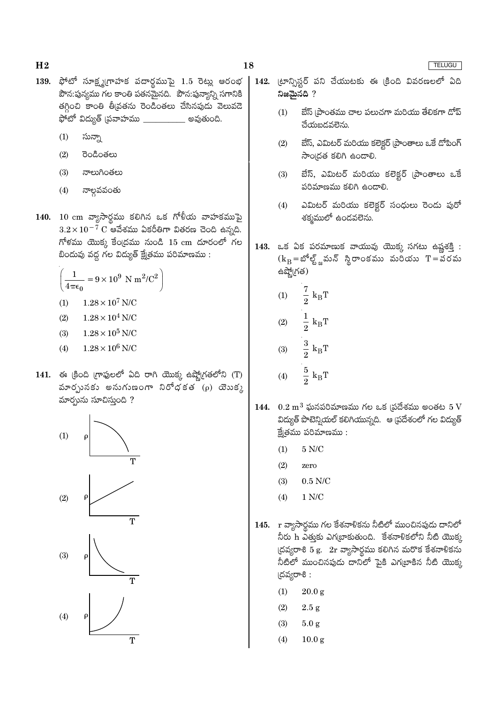- $H<sub>2</sub>$
- 139. ఫోటో సూక్ష్మగ్రాహక పదార్థముపై 1.5 రెట్లు ఆరంభ పౌన:పున్యము గల కాంతి పతనమైనది. పౌన:పున్యాన్ని సగానికి తగ్గించి కాంతి తీవ్రతను రెండింతలు చేసినపుడు వెలువడె ఫోటో విద్యుత్ (పవాహము  $\_$ <u>\_\_\_\_\_\_\_\_\_</u> అవుతుంది.
	- $(1)$ సున్నా
	- రెండింతలు  $(2)$
	- $(3)$ నాలుగింతలు
	- నాల్గవవంతు  $(4)$
- 140. 10 cm వ్యాసార్థము కలిగిన ఒక గోళీయ వాహకముపై  $3.2\times10^{-7}$   $\rm C$  ఆవేశము ఏకరీతిగా వితరణ చెంది ఉన్నది.  $f$ ో కము యొక్క కేంద్రము నుండి 15 cm దూరంలో గల బిందువు వద్ద గల విద్యుత్ క్షేత్రము పరిమాణము:

$$
\left(\frac{1}{4\pi\epsilon_0} = 9 \times 10^9 \text{ N m}^2/\text{C}^2\right)
$$
  
(1) 1.28 × 10<sup>7</sup> N/C

- $1.28 \times 10^4$  N/C  $(2)$
- $(3)$  $1.28 \times 10^5$  N/C
- $1.28 \times 10^6$  N/C  $(4)$
- 141. ఈ క్రింది గ్రాఫులలో ఏది రాగి యొక్క ఉష్ణోగ్రతలోని (T) మారృునకు అనుగుణంగా నిరోధకత  $(p)$  యెుక $p$ మార్చును సూచిస్తుంది ?



- 18
	- 142. (టాన్ఫిస్టర్ పని చేయుటకు ఈ క్రింది వివరణలలో ఏది నిజమైనది ?
		- $(1)$ బేస్ (పాంతము చాల పలుచగా మరియు తేలికగా దోప్ చేయబడవలెను.
		- బేస్, ఎమిటర్ మరియు కలెక్టర్ (ప్రాంతాలు ఒకే డోపింగ్  $(2)$ సాందత కలిగి ఉండాలి.
		- బేస్, ఎమిటర్ మరియు కలెక్టర్ (పాంతాలు ఒకే  $(3)$ పరిమాణము కలిగి ఉండాలి.
		- ఎమిటర్ మరియు కలెక్టర్ సంధులు రెండు పురో  $(4)$ శక్మములో ఉండవలెను.
	- 143. ఒక ఏక పరమాణుక వాయువు యొక్క సగటు ఉష్ణశక్తి :  $(k_B = \mathcal{S}^5 \mathcal{S}_n)$  మన్ స్థిరాంకము మరియు  $T = \mathcal{S} \setminus \mathcal{S}$ మ ఉష్మో(గత)
		- $\frac{7}{2}$  $k_BT$  $(1)$
		- $\frac{1}{2}$  $\rm k_BT$  $(2)$
		- $\frac{3}{2}$  $\rm k_BT$  $(3)$
		- $\frac{5}{2}$  k<sub>B</sub>T  $(4)$
	- 144.  $0.2 \text{ m}^3$  ఘనపరిమాణము గల ఒక (పదేశము అంతట  $5 \text{ V}$ విద్యుత్ పొటెన్షియల్ కలిగియున్నది. ఆ (పదేశంలో గల విద్యుత్ క్టే(తము పరిమాణము:
		- $(1)$  $5$  N/C  $\,$
		- $(2)$ zero
		- $(3)$  $0.5$  N/C
		- $(4)$  $1 N/C$
	- 145. r వ్యాసార్థము గల కేశనాళికను నీటిలో ముంచినపుడు దానిలో నీరు h ఎత్తుకు ఎగట్రాకుతుంది. కేశనాళికలోని నీటి యొక్క  $\beta$ దవ్యరాశి 5 g.  $2r$  వ్యాసార్థము కలిగిన మరొక కేశనాళికను నీటిలో ముంచినపుడు దానిలో పైకి ఎగ(బాకిన నీటి యొక్క (దవ్యరాశి:
		- $(1)$  $20.0\,\mathrm{g}$
		- $2.5 g$  $(2)$
		- $(3)$  $5.0<sub>g</sub>$
		- $(4)$  $10.0<sub>g</sub>$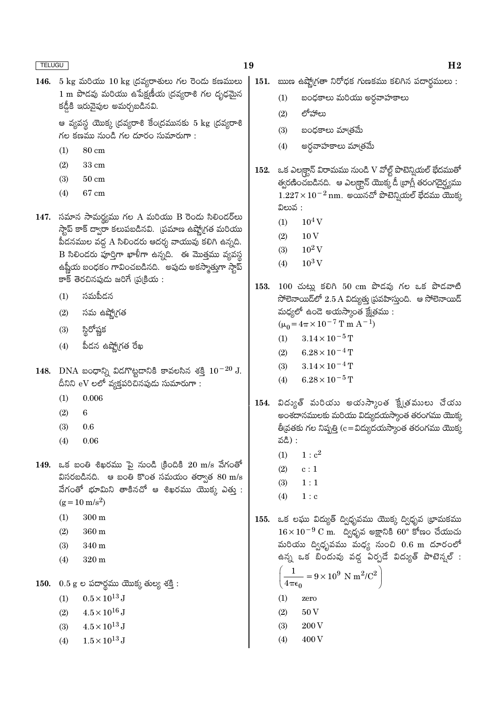146. 5 kg మరియు 10 kg (దవ్యరాశులు గల రెందు కణములు  $1 \text{ m}$  పొడవు మరియు ఉపేక్షణీయ (దవ్యరాశి గల దృఢమైన కడ్డీకి ఇరువైపుల అమర్చబడినవి.

> ఆ వ్యవస్థ యొక్క (దవ్యరాశి కేం(దమునకు 5 kg (దవ్<mark>య</mark>రాశి గల కణము నుండి గల దూరం సుమారుగా:

- 80 cm  $(1)$
- $(2)$ 33 cm
- $50 \text{ cm}$  $(3)$
- $(4)$ 67 cm

147. సమాన సామర్థ్యము గల A మరియు B రెండు సిలిండర్లు స్టాప్ కాక్ ద్వారా కలుపబడినవి. (పమాణ ఉష్ణో(గత మరియు పీడనముల వద్ద A సిలిండరు ఆదర్శ వాయువు కలిగి ఉన్నది.  $\, {\bf B} \,$  సిలిండరు పూర్తిగా ఖాళీగా ఉన్నది. ఈ మొత్తము వ్యవస్థ ఉష్ణీయ బంధకం గావించబడినది. అపుడు అకస్మాత్తుగా స్తాప్ కాక్ తెరచినపుడు జరిగే (ప్రక్రియ :

- సమపీదన  $(1)$
- $(2)$ సమ ఉష్మోగత
- స్థిరోష్ణక  $(3)$
- పీదన ఉష్ణో(గత రేఖ  $(4)$
- 148. DNA బంధాన్ని విదగొట్టడానికి కావలసిన శక్తి  $10^{-20}$  J. దీనిని eV లలో వ్యక్తపరిచినపుడు సుమారుగా:
	- 0.006  $(1)$
	- $(2)$  $\boldsymbol{6}$
	- $(3)$ 0.6
	- $(4)$ 0.06

 $149.$  ఒక బంతి శిఖరము పై నుండి క్రిందికి  $20 \text{ m/s}$  వేగంతో విసరబడినది. ఆ బంతి కొంత సమయం తర్వాత  $80 \text{ m/s}$ వేగంతో భూమిని తాకినచో ఆ శిఖరము యొక్క ఎత్తు:  $(g = 10 \text{ m/s}^2)$ 

- $300 \text{ m}$  $(1)$
- 360 m  $(2)$
- 340 m  $(3)$
- $(4)$ 320 m

150.  $0.5$  g ల పదార్థము యొక్క తుల్య శక్తి:

- $0.5 \times 10^{13}$  J  $(1)$
- $4.5 \times 10^{16}$  J  $(2)$
- $(3)$  $4.5 \times 10^{13}$  J
- $1.5 \times 10^{13}$  J  $(4)$
- 151. ఋణ ఉష్మోగ్రతా నిరోధక గుణకము కలిగిన పదార్థములు :
	- $(1)$ బంధకాలు మరియు అర్ధవాహకాలు
	- లోహాలు  $(2)$
	- $(3)$ బంధకాలు మాౖతమే
	- అర్ధవాహకాలు మాత్రమే  $(4)$
- 152. ఒక ఎల|క్వాన్ విరామము నుండి V వోల్ట్ పొటెన్నియల్ భేదముతో త్వరణించబడినది. ఆ ఎలక్ట్రాన్ యొక్క డీ ట్రాగ్లీ తరంగదైర్ఘ్యము  $1.227\times10^{-2}\,\mathrm{nm}$ . అయినచో పొటెన్నియల్ భేదము యొక్క విలువ :
	- $10^4$  V  $(1)$
	- 10<sub>V</sub>  $(2)$
	- $10^2$  V  $(3)$
	- $10^3\,\rm{V}$  $(4)$

153. 100 చుట్లు కలిగి 50 cm పొడవు గల ఒక పొడవాటి సోలెనాయిడ్లలో  $2.5$  A విద్యుత్తు (పవహిస్తుంది. అ సోలెనాయిడ్ మధ్యలో ఉండె అయస్కాంత క్షేత్రము :

 $(\mu_0 = 4\pi \times 10^{-7} \text{ T m A}^{-1})$ 

- $3.14 \times 10^{-5}$  T  $(1)$
- $6.28 \times 10^{-4}$  T  $(2)$
- $(3)$  $3.14 \times 10^{-4}$  T
- $(4)$  $6.28 \times 10^{-5}$  T
- 154. విద్యుత్ మరియు అయన్కాంత క్షేత్రములు చేయు అంశదానములకు మరియు విద్యుదయస్కాంత తరంగము యొక్క తీ|వతకు గల నిష్పత్తి (c=విద్యుదయస్కాంత తరంగము యొక్క వడి) :
	- $1: c^2$  $(1)$
	- $(2)$  $c:1$
	- $(3)$  $1:1$
	- $(4)$  $1 : c$

155. ఒక లఘు విద్యుత్ ద్విధృవము యొక్క ద్విధృవ (భామకము  $16 \times 10^{-9}$  C m. ద్విధృవ అక్షానికి 60° కోణం చేయుచు మరియు ద్విధృవము మధ్య నుంచి 0.6 m దూరంలో ఉన్న ఒక బిందువు వద్ద ఏర్పడే విద్యుత్ పొటెన్నల్ :

$$
\left(\frac{1}{4\pi\epsilon_0} = 9 \times 10^9 \text{ N m}^2/\text{C}^2\right)
$$

- $(1)$ zero
- $(2)$ 50V
- $(3)$ 200 V
- 400V  $(4)$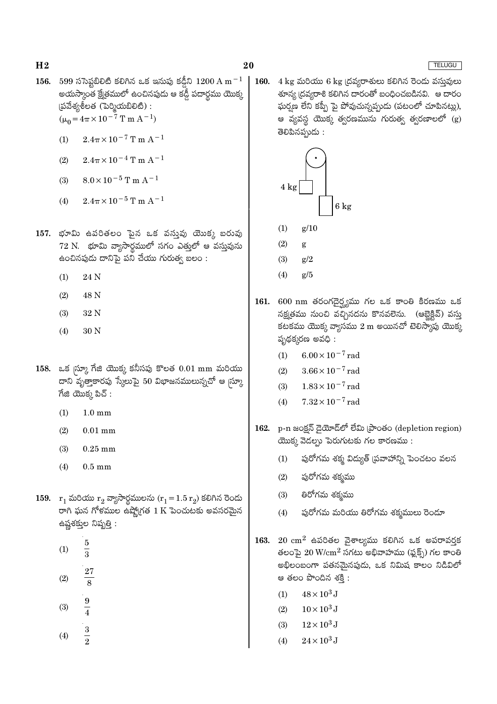20

- 156. 599 ససెప్టబిలిటి కలిగిన ఒక ఇనుపు కడ్డీని  $1200\,\mathrm{A\,m^{-1}}$ అయస్కాంత క్షేత్రములో ఉంచినపుడు ఆ కడ్డీ పదార్థము యొక్క  $\check{\mathfrak{g}}$ వేశ్యశీలత (పెర్మియబిలిటి) :  $(\mu_0 = 4\pi \times 10^{-7} \text{ T m A}^{-1})$ 
	- $2.4\pi \times 10^{-7}$  T m A<sup>-1</sup>  $(1)$
	- $2.4\pi \times 10^{-4}$  T m A<sup>-1</sup>  $(2)$
	- $8.0 \times 10^{-5}$  T m A<sup>-1</sup>  $(3)$
	- $2.4\pi\times10^{-5}\,\mathrm{T}$  m  $\mathrm{A}^{-1}$  $(4)$
- 157. భూమి ఉపరితలం పైన ఒక వస్తువు యొక్క బరువు  $72$  N.  $\thinspace$  భూమి వ్యాసార్థములో సగం ఎత్తులో ఆ వస్తువును ఉంచినపుడు దానిపై పని చేయు గురుత్వ బలం :
	- 24 N  $(1)$
	- $(2)$ 48 N
	- $(3)$ 32 N
	- $(4)$ 30 N
- 158. ఒక స్కూ గేజి యొక్క కనీసపు కొలత 0.01 mm మరియు దాని వృత్తాకారపు స్కేలుపై 50 విభాజనములున్నచో ఆ మ్రా  $\vec{a}$ జి యొక్క పిచ్ :
	- $(1)$  $1.0 \text{ mm}$
	- $(2)$  $0.01$  mm
	- $(3)$  $0.25$  mm
	- $(4)$  $0.5 \text{ mm}$
- 159.  $r_1$  మరియు  $r_2$  వ్యాసార్ధములను  $(r_1 = 1.5 r_2)$  కలిగిన రెండు రాగి ఘన గోళముల ఉష్మోగత 1 $\overline{K}$  పెంచుటకు అవసరమైన ఉష్ణశక్తుల నిష్పత్తి :
	- $\overline{5}$  $(1)$  $\overline{3}$
	- **27**  $(2)$  $\overline{8}$
	- 9  $(3)$  $\overline{4}$
	- $\frac{3}{2}$  $(4)$

 $4 \text{ kg}$  మరియు 6 kg (దవ్యరాశులు కలిగిన రెండు వస్తువులు 160. తాన్య ద్రవ్యరాశి కలిగిన దారంతో బంధించబడినవి. ఆ దారం ఘర్షణ లేని కప్పీ పై పోవుచున్నప్పుడు (పటంలో చూపినట్లు), ఆ వ్యవస్థ యొక్క త్వరణమును గురుత్వ త్వరణాలలో (g) తెలిపినప్పుడు:



- 
- $(2)$ g
- $g/2$  $(3)$
- $(4)$  $g/5$
- 161. 600 nm తరంగదైర్ఘ్యము గల ఒక కాంతి కిరణము ఒక నక్షత్రము నుంచి వచ్చినదను కొనవలెను. (ఆబ్జెక్టివ్) వస్తు .<br>కటకము యొక్క వ్యాసము 2 m అయినచో టెలిస్గాపు యొక్క పృథక్కరణ అవధి:
	- $6.00 \times 10^{-7}$  rad  $(1)$
	- $3.66 \times 10^{-7}$  rad  $(2)$
	- $1.83 \times 10^{-7}$  rad  $(3)$
	- $7.32\times10^{-7}\,\mathrm{rad}$  $(4)$
- p-n జంక్షన్ డైయోడ్లలో లేమి ప్రాంతం (depletion region) 162. యొక్క వెడల్పు పెరుగుటకు గల కారణము :
	- పురోగమ శక్మ విద్యుత్ (పవాహాన్ని పెంచటం వలన  $(1)$
	- $(2)$ పురోగమ శక్మము
	- $(3)$ తిరోగమ శక్మము
	- పురోగమ మరియు తిరోగమ శక్మములు రెండూ  $(4)$
- 163.  $20 \text{ cm}^2$  ఉపరితల వైశాల్యము కలిగిన ఒక అపరావర్తక తలంపై  $20 \text{ W/cm}^2$  సగటు అభివాహము (ఫ్లక్స్) గల కాంతి అభిలంబంగా పతనమైనపుడు, ఒక నిమిష కాలం నిడివిలో ఆ తలం పొందిన శక్తి :
	- $48 \times 10^3$  J  $(1)$
	- $10\times10^3\,\mathrm{J}$  $(2)$
	- $12\times10^3\,\mathrm{J}$  $(3)$
	- $24 \times 10^3$  J  $(4)$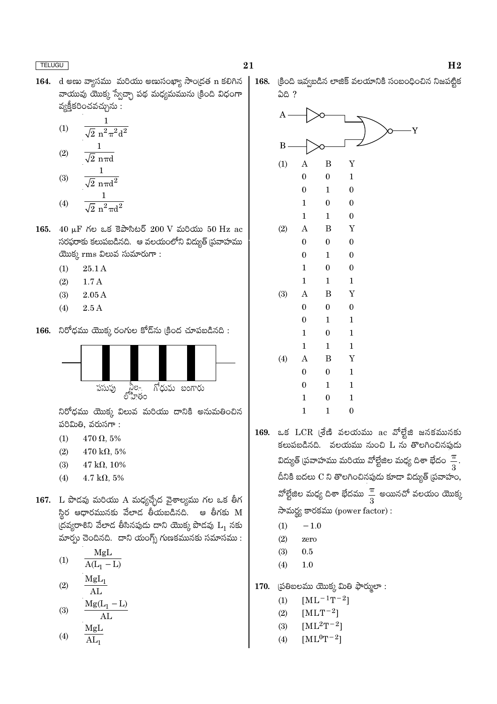164. d అణు వ్యాసము మరియు అణుసంఖ్యా సాంద్రత n కలిగిన వాయువు యొక్క స్వేచ్చా పథ మధ్యమమును (కింది విధంగా వ్యక్తీకరించవచ్చును :

(1) 
$$
\frac{1}{\sqrt{2} n^2 \pi^2 d^2}
$$
  
(2) 
$$
\frac{1}{\sqrt{2} n \pi d}
$$
  
(3) 
$$
\frac{1}{\sqrt{2} n \pi d}
$$

(4) 
$$
\frac{1}{\sqrt{2} \pi^2 \pi d^2}
$$

- 165.  $40 \mu$ F Κυ a Ξαλδεύδ 200 V ώθο 50 Hz ac సరఫరాకు కలుపబడినది. ఆ వలయంలోని విద్యుత్ (పవాహము యొక్క $rm$ ms విలువ సుమారుగా:
	- $(1)$ 25.1 A
	- $(2)$  $1.7A$
	- $(3)$  $2.05A$
	- $(4)$  $2.5A$
- 166. నిరోధము యొక్క రంగుల కోడ్సు (కింద చూపబడినది :



నిరోధము యొక్క విలువ మరియు దానికి అనుమతించిన పరిమితి, వరుసగా:

- $(1)$  $470 \Omega, 5\%$
- $(2)$  $470 \text{ k}\Omega, 5\%$
- $(3)$  $47 \text{ k}\Omega, 10\%$
- $4.7 \text{ k}\Omega, 5\%$  $(4)$
- 167. L పొడవు మరియు A మధ్యచ్చేద వైశాల్యము గల ఒక తీగ స్థిర ఆధారమునకు వేలాడ తీయబడినది. ఆ తీగకు M (దవ్యరాశిని వేలాడ తీసినపుడు దాని యొక్క పొడవు  $L_1$  నకు మార్పు చెందినది. దాని యంగ్స్ గుణకమునకు సమాసము :
	- MgL  $(1)$  $A(L_1 - L)$  $MgL_1$  $(2)$
	- $AI<sub>1</sub>$  $Mg(L_1 - L)$  $(3)$  $AL$  $M\sigma I$

$$
(4) \qquad \frac{\text{mgn}}{\text{AL}_1}
$$



- 169. ఒక LCR (శేణి వలయము ac వోల్టేజి జనకమునకు కలుపబడినది. వలయము నుంచి L ను తొలగించినపుడు విద్యుత్ (పవాహము మరియు వోల్టేజిల మధ్య దిశా భేదం $\frac{\pi}{3}$ దీనికి బదలు C ని తొలగించినపుడు కూడా విద్యుత్ (పవాహం, వోల్టేజిల మధ్య దిశా భేదము $\frac{\pi}{3}$  అయినచో వలయం యొక్క సామర్థ్య కారకము (power factor):
	- $(1)$  $-1.0$
	- $(2)$ zero
	- $(3)$  $0.5$
	- $(4)$  $1.0$
- (పతిబలము యొక్క మితి ఫార్ములా: 170.
	- $[ML^{-1}T^{-2}]$  $(1)$
	- $[MLT^{-2}]$  $(2)$
	- $[ML^{2}T^{-2}]$  $(3)$
	- $[ML^0T^{-2}]$  $(4)$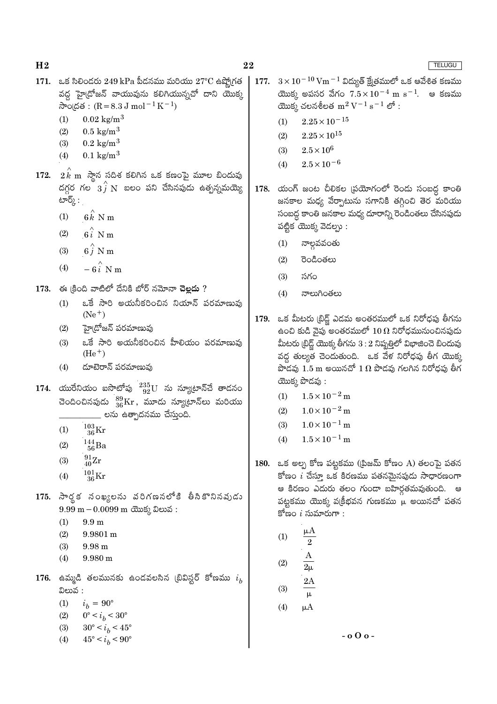- 171. ఒక సిలిందరు  $249$  kPa పీడనము మరియు  $27^{\circ}$ C ఉష్నోగత వద్ద హై(దోజన్ వాయువును కలిగియున్నచో దాని యొక్క సాంద్రత:  $(R = 8.3 J \text{ mol}^{-1} K^{-1})$ 
	- $0.02 \text{ kg/m}^3$  $(1)$
	- $0.5 \text{ kg/m}^3$  $(2)$
	- $(3)$  $0.2 \text{ kg/m}^3$
	- $0.1 \text{ kg/m}^3$  $(4)$
- 172.  $2\,k$  m  $\,$ స్తాన సదిశ కలిగిన ఒక కణంపై మూల బిందువు దగ్గర గల $\hat{a}$   $\hat{i}$  N బలం పని చేసినపుడు ఉత్పన్నమయ్యె టార్⁄ై :
	- $(1)$  $6k$  N m
	- $6i$  N m  $(2)$
	- $6\hat{i}$  N m  $(3)$
	- $-6i$  N m  $(4)$
- $173.$  ఈ క్రింది వాటిలో దేనికి బోర్ నమోనా చెల్లదు ?
	- ఒకే సారి అయనీకరించిన నియాన్ పరమాణువు  $(1)$  $(Ne^+)$
	- హై[దోజన్ పరమాణువు  $(2)$
	- ఒకే సారి అయనీకరించిన హీలియం పరమాణువు  $(3)$  $(He<sup>+</sup>)$
	- డూటెరాన్ పరమాణువు  $(4)$
- 174. యురేనియం ఐసొటోపు  $^{235}_{92}$ U ను న్యూటాన్చే తాదనం చెందించినపుడు  $^{89}_{36}\mathrm{Kr}$ , మూడు న్యూటాన్లు మరియు \_\_ లను ఉత్పాదనము చేస్తుంది.
	- $^{103}_{\phantom{1}36}\mathrm{Kr}$  $(1)$
	- $^{144}_{\ 56}$ Ba  $(2)$
	- $^{91}_{40}Zr$  $(3)$
	-
	- $^{101}_{36}\mathrm{Kr}$  $(4)$
- 175. సార్థక నంఖ్యలను వరిగణనలోకి తీసికొనినవుడు  $9.99 \text{ m} - 0.0099 \text{ m}$  cross 2 කාර :
	- $(1)$  $9.9<sub>m</sub>$
	- $(2)$  $9.9801 m$
	- $(3)$  $9.98<sub>m</sub>$
	- $(4)$  $9.980 \text{ m}$
- 176. ఉమ్మడి తలమునకు ఉండవలసిన (బివిస్టర్ కోణము  $i_b$ విలువ :
	- $(1)$  $i_h = 90^\circ$
	- $(2)$  $0^{\circ} < i_b < 30^{\circ}$
	- $(3)$  $30^{\circ} < i_b < 45^{\circ}$
	- $45^{\circ} < i_h < 90^{\circ}$  $(4)$
- $3\times10^{-10}\,\mathrm{Vm^{-1}}$  విద్యుత్ క్షేత్రములో ఒక ఆవేశిత కణము 177. యొక్క అపసర వేగం  $7.5 \times 10^{-4}$  m  $\rm s^{-1}$ . ఆ కణము యొక్క చలనశీలత $m^2 V^{-1} s^{-1}$  లో :
	- $2.25\times10^{-15}$  $(1)$
	- $2.25 \times 10^{15}$  $(2)$
	- $2.5\times10^6$  $(3)$
	- $(4)$  $2.5 \times 10^{-6}$
- 178. యంగ్ జంట చీలికల (పయోగంలో రెండు సంబద్ధ కాంతి జనకాల మధ్య వేర్పాటును సగానికి తగ్గించి తెర మరియు సంబద్ధ కాంతి జనకాల మధ్య దూరాన్ని రెండింతలు చేసినపుడు పట్టిక యొక్క వెడల్పు :
	- నాల్గవవంతు  $(1)$
	- $(2)$ రెండింతలు
	- $(3)$ సగం
	- నాలుగింతలు  $(4)$
- 179. ఒక మీటరు (బిడ్జ్ ఎడమ అంతరములో ఒక నిరోధపు తీగను ఉంచి కుడి వైపు అంతరములో  $10\,\Omega$  నిరోధమునుంచినపుడు మీటరు (బిడ్జ్ యొక్క తీగను  $3:2$  నిష్పత్తిలో విభాజించె బిందువు వద్ద తుల్యత చెందుతుంది. ఒక వేళ నిరోధపు తీగ యొక్క పొడవు  $1.5\ \text{m}$  అయినచో  $1\ \Omega$  పొడవు గలగిన నిరోధపు తీగ యొక్క పొడవు:
	- $1.5 \times 10^{-2}$  m  $(1)$
	- $(2)$  $1.0 \times 10^{-2}$  m
	- $1.0 \times 10^{-1}$  m  $(3)$
	- $1.5 \times 10^{-1}$  m  $(4)$
- 180. ఒక అల్ప కోణ పట్టకము ((పిజమ్ కోణం A) తలంపై పతన కోణం  $i$  చేస్తూ ఒక కిరణము పతనమైనపుడు సాధారణంగా ఆ కిరణం ఎదురు తలం గుండా బహిర్గతమవుతుంది. ఆ పట్టకము యొక్క వక్రీభవన గుణకము  $\mu$  అయినచో పతన కోణం  $i$  సుమారుగా :

(1) 
$$
\frac{\mu A}{2}
$$
  
(2) 
$$
\frac{A}{2\mu}
$$
  
(3) 
$$
\frac{2A}{\mu}
$$
  
(4) 
$$
\mu A
$$

 $-000-$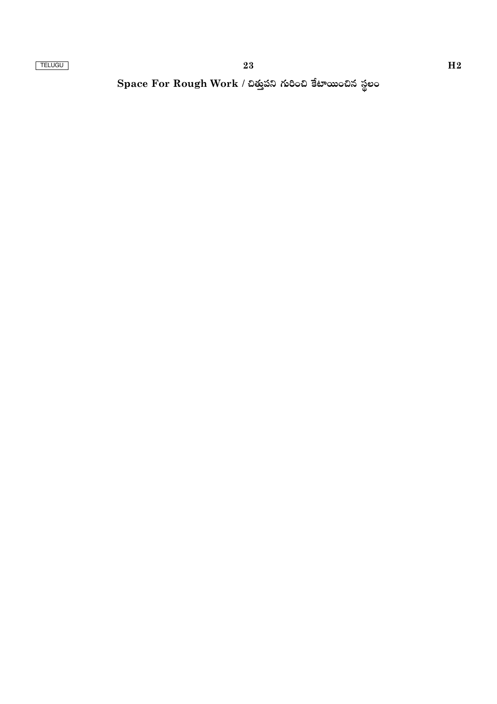Space For Rough Work / చిత్తుపని గురించి కేటాయించిన స్థలం